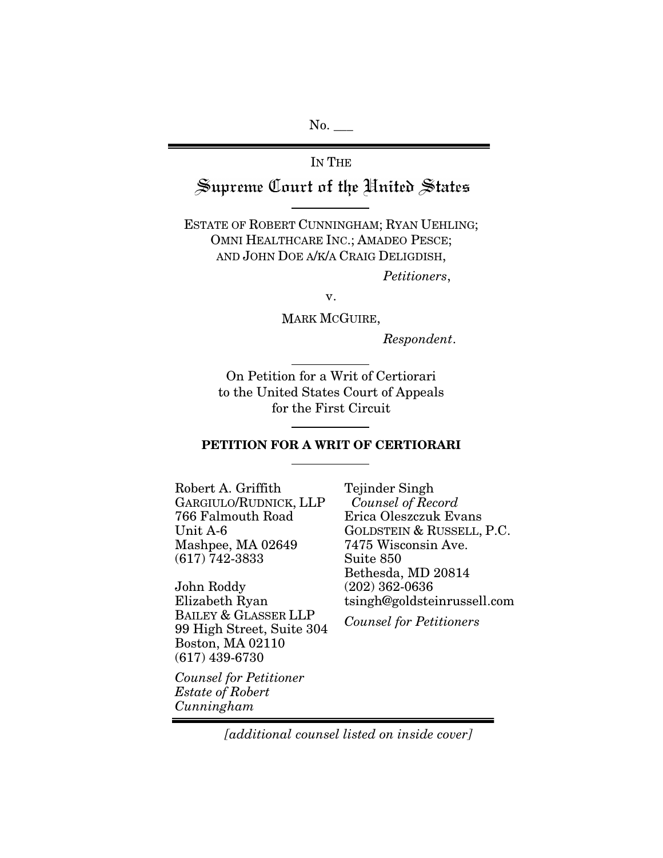$No.$ 

# IN THE Supreme Court of the United States

ESTATE OF ROBERT CUNNINGHAM; RYAN UEHLING; OMNI HEALTHCARE INC.; AMADEO PESCE; AND JOHN DOE A/K/A CRAIG DELIGDISH,

*Petitioners*,

v.

MARK MCGUIRE,

*Respondent*.

On Petition for a Writ of Certiorari to the United States Court of Appeals for the First Circuit

#### PETITION FOR A WRIT OF CERTIORARI

Robert A. Griffith GARGIULO/RUDNICK, LLP 766 Falmouth Road Unit A-6 Mashpee, MA 02649 (617) 742-3833

John Roddy Elizabeth Ryan BAILEY & GLASSER LLP 99 High Street, Suite 304 Boston, MA 02110 (617) 439-6730

Erica Oleszczuk Evans GOLDSTEIN & RUSSELL, P.C. 7475 Wisconsin Ave. Suite 850 Bethesda, MD 20814 (202) 362-0636 tsingh@goldsteinrussell.com *Counsel for Petitioners*

Tejinder Singh *Counsel of Record*

*Counsel for Petitioner Estate of Robert Cunningham*

*[additional counsel listed on inside cover]*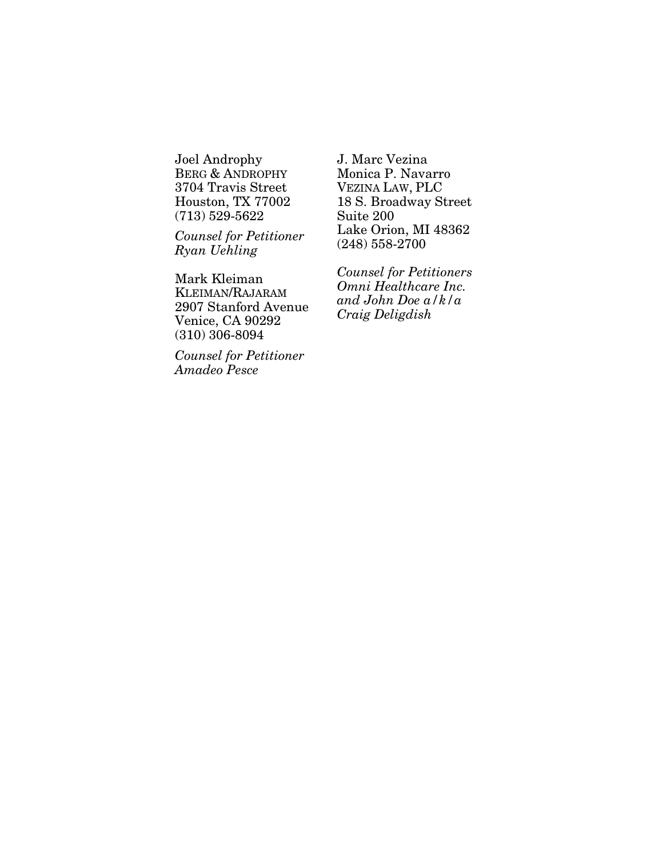Joel Androphy BERG & ANDROPHY 3704 Travis Street Houston, TX 77002 (713) 529-5622

*Counsel for Petitioner Ryan Uehling*

Mark Kleiman KLEIMAN/RAJARAM 2907 Stanford Avenue Venice, CA 90292 (310) 306-8094

*Counsel for Petitioner Amadeo Pesce*

J. Marc Vezina Monica P. Navarro VEZINA LAW, PLC 18 S. Broadway Street Suite 200 Lake Orion, MI 48362 (248) 558-2700

*Counsel for Petitioners Omni Healthcare Inc. and John Doe a/k/a Craig Deligdish*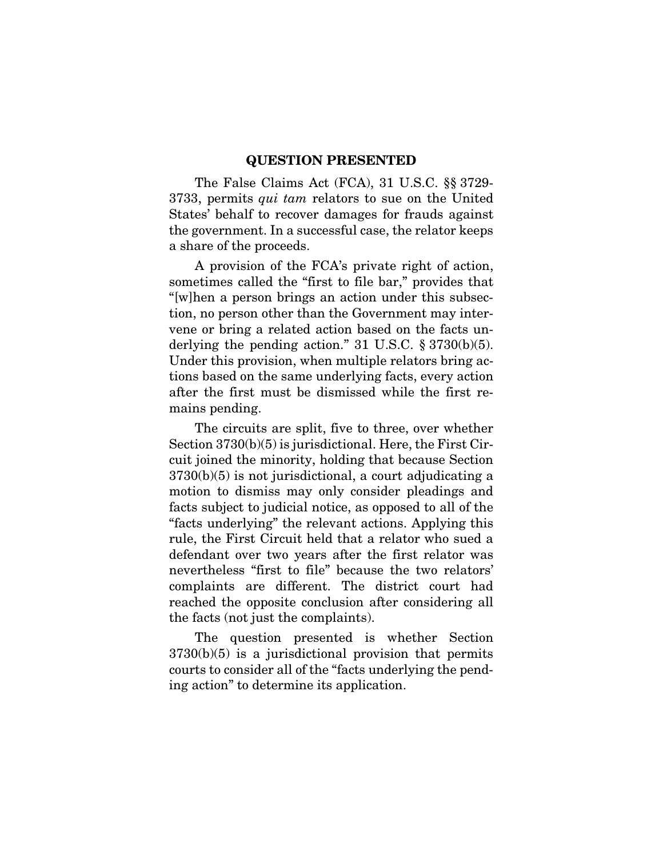#### QUESTION PRESENTED

<span id="page-2-0"></span>The False Claims Act (FCA), 31 U.S.C. §§ 3729- 3733, permits *qui tam* relators to sue on the United States' behalf to recover damages for frauds against the government. In a successful case, the relator keeps a share of the proceeds.

A provision of the FCA's private right of action, sometimes called the "first to file bar," provides that "[w]hen a person brings an action under this subsection, no person other than the Government may intervene or bring a related action based on the facts underlying the pending action." 31 U.S.C.  $\S 3730(b)(5)$ . Under this provision, when multiple relators bring actions based on the same underlying facts, every action after the first must be dismissed while the first remains pending.

The circuits are split, five to three, over whether Section 3730(b)(5) is jurisdictional. Here, the First Circuit joined the minority, holding that because Section 3730(b)(5) is not jurisdictional, a court adjudicating a motion to dismiss may only consider pleadings and facts subject to judicial notice, as opposed to all of the "facts underlying" the relevant actions. Applying this rule, the First Circuit held that a relator who sued a defendant over two years after the first relator was nevertheless "first to file" because the two relators' complaints are different. The district court had reached the opposite conclusion after considering all the facts (not just the complaints).

The question presented is whether Section  $3730(b)(5)$  is a jurisdictional provision that permits courts to consider all of the "facts underlying the pending action" to determine its application.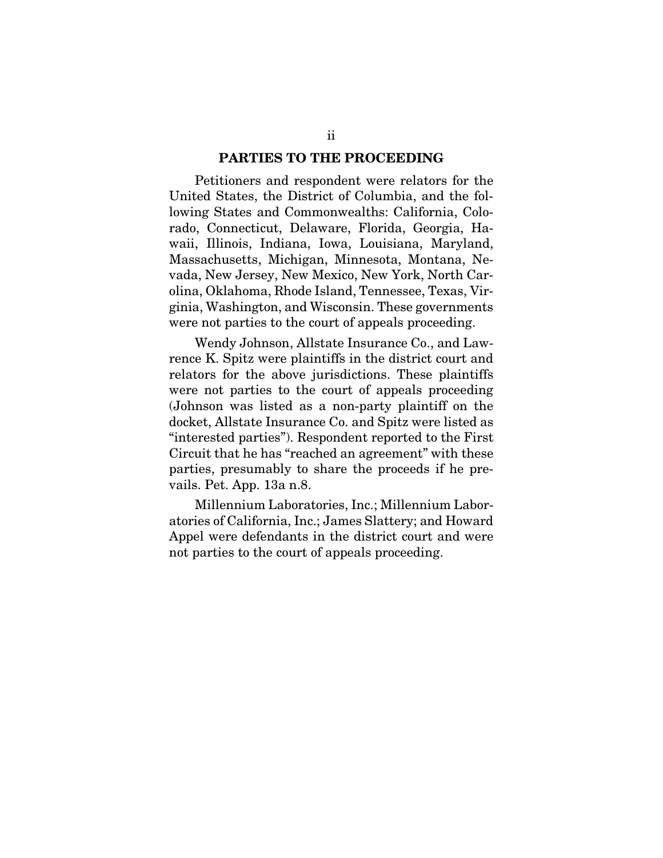#### PARTIES TO THE PROCEEDING

<span id="page-3-0"></span>Petitioners and respondent were relators for the United States, the District of Columbia, and the following States and Commonwealths: California, Colorado, Connecticut, Delaware, Florida, Georgia, Hawaii, Illinois, Indiana, Iowa, Louisiana, Maryland, Massachusetts, Michigan, Minnesota, Montana, Nevada, New Jersey, New Mexico, New York, North Carolina, Oklahoma, Rhode Island, Tennessee, Texas, Virginia, Washington, and Wisconsin. These governments were not parties to the court of appeals proceeding.

Wendy Johnson, Allstate Insurance Co., and Lawrence K. Spitz were plaintiffs in the district court and relators for the above jurisdictions. These plaintiffs were not parties to the court of appeals proceeding (Johnson was listed as a non-party plaintiff on the docket, Allstate Insurance Co. and Spitz were listed as "interested parties"). Respondent reported to the First Circuit that he has "reached an agreement" with these parties, presumably to share the proceeds if he prevails. Pet. App. 13a n.8.

Millennium Laboratories, Inc.; Millennium Laboratories of California, Inc.; James Slattery; and Howard Appel were defendants in the district court and were not parties to the court of appeals proceeding.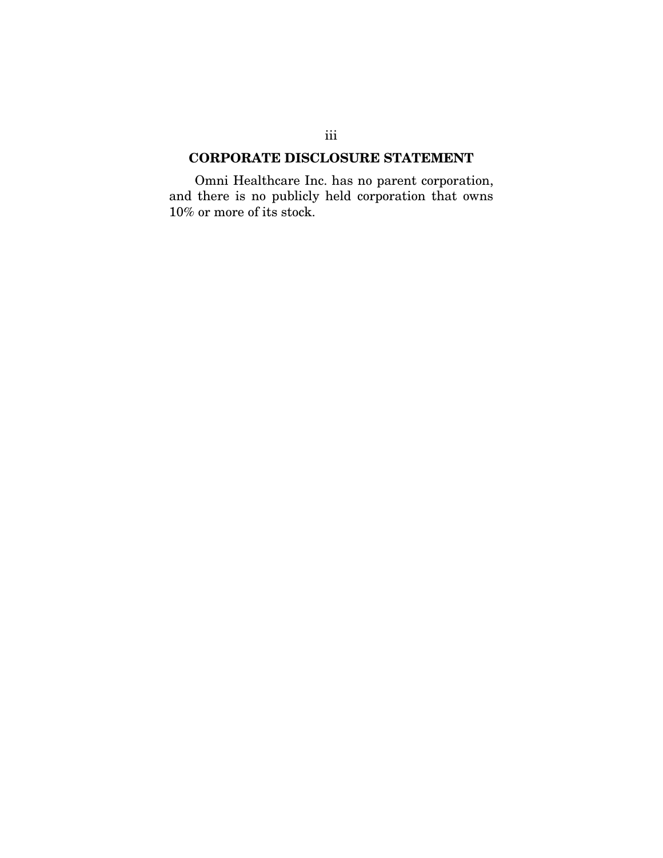# <span id="page-4-0"></span>CORPORATE DISCLOSURE STATEMENT

Omni Healthcare Inc. has no parent corporation, and there is no publicly held corporation that owns 10% or more of its stock.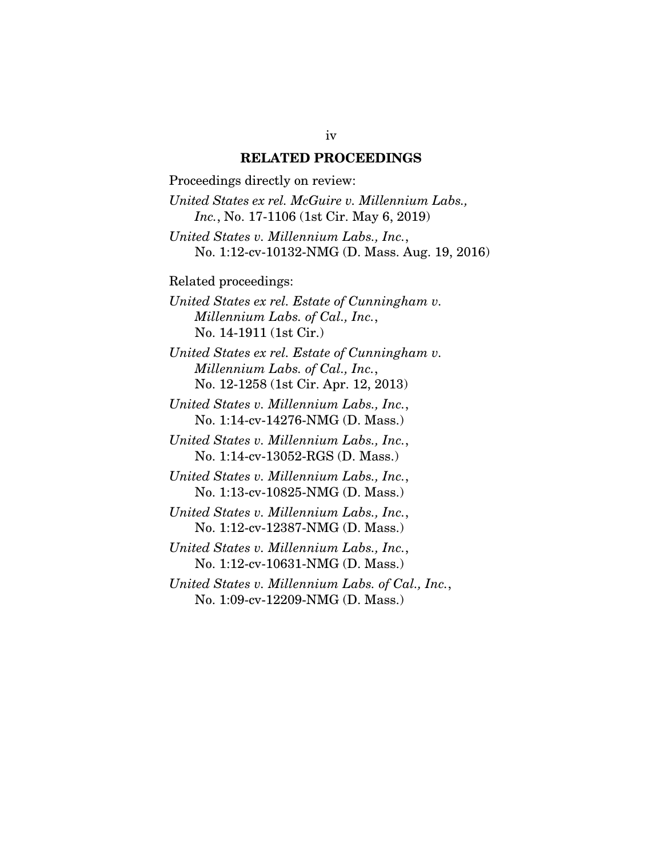#### RELATED PROCEEDINGS

<span id="page-5-0"></span>Proceedings directly on review: *United States ex rel. McGuire v. Millennium Labs., Inc.*, No. 17-1106 (1st Cir. May 6, 2019) *United States v. Millennium Labs., Inc.*, No. 1:12-cv-10132-NMG (D. Mass. Aug. 19, 2016) Related proceedings:

*United States ex rel. Estate of Cunningham v. Millennium Labs. of Cal., Inc.*, No. 14-1911 (1st Cir.)

*United States ex rel. Estate of Cunningham v. Millennium Labs. of Cal., Inc.*, No. 12-1258 (1st Cir. Apr. 12, 2013)

*United States v. Millennium Labs., Inc.*, No. 1:14-cv-14276-NMG (D. Mass.)

*United States v. Millennium Labs., Inc.*, No. 1:14-cv-13052-RGS (D. Mass.)

*United States v. Millennium Labs., Inc.*, No. 1:13-cv-10825-NMG (D. Mass.)

*United States v. Millennium Labs., Inc.*, No. 1:12-cv-12387-NMG (D. Mass.)

*United States v. Millennium Labs., Inc.*, No. 1:12-cv-10631-NMG (D. Mass.)

*United States v. Millennium Labs. of Cal., Inc.*, No. 1:09-cv-12209-NMG (D. Mass.)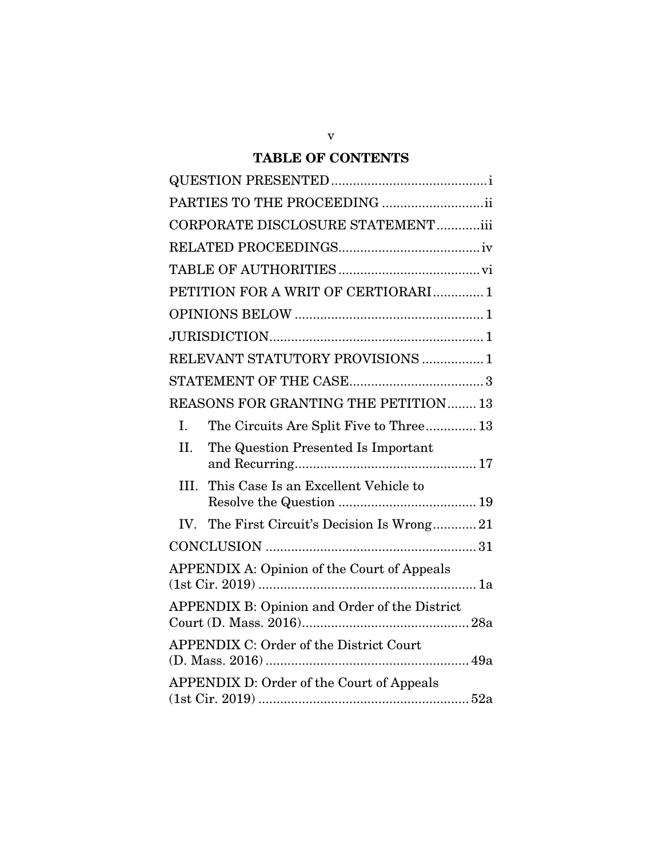# TABLE OF CONTENTS

|      | PARTIES TO THE PROCEEDING ii                                                     |
|------|----------------------------------------------------------------------------------|
|      | CORPORATE DISCLOSURE STATEMENTiii                                                |
|      |                                                                                  |
|      |                                                                                  |
|      | PETITION FOR A WRIT OF CERTIORARI1                                               |
|      |                                                                                  |
|      |                                                                                  |
|      | RELEVANT STATUTORY PROVISIONS  1                                                 |
|      |                                                                                  |
|      | REASONS FOR GRANTING THE PETITION 13                                             |
| Ι.   | The Circuits Are Split Five to Three 13                                          |
| II.  | The Question Presented Is Important                                              |
| III. | This Case Is an Excellent Vehicle to                                             |
|      | IV. The First Circuit's Decision Is Wrong21                                      |
|      |                                                                                  |
|      | <b>APPENDIX A: Opinion of the Court of Appeals</b><br>$(1st Cir.~2019) \dots 1a$ |
|      | APPENDIX B: Opinion and Order of the District                                    |
|      | APPENDIX C: Order of the District Court                                          |
|      | APPENDIX D: Order of the Court of Appeals                                        |

v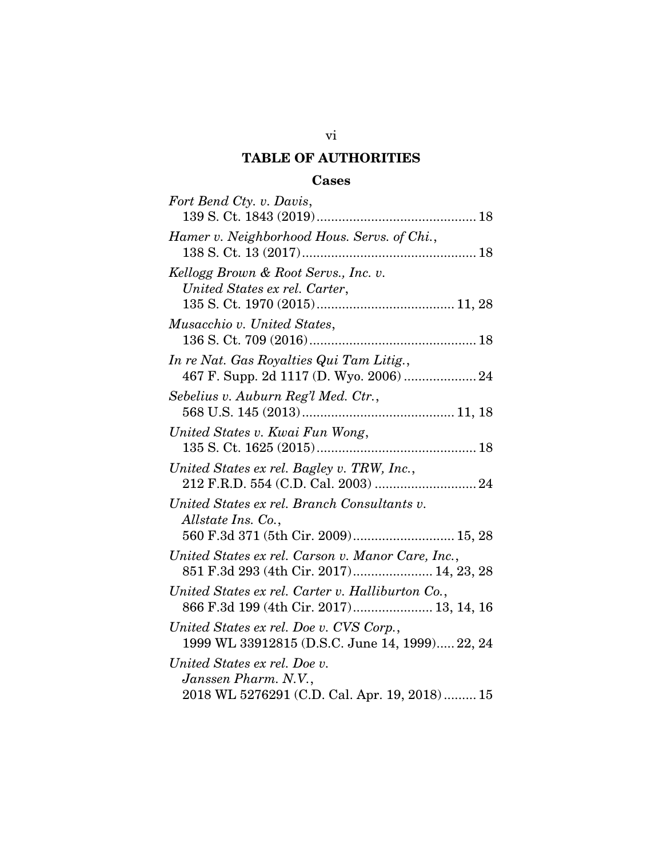# TABLE OF AUTHORITIES

#### Cases

<span id="page-7-0"></span>

| Fort Bend Cty. v. Davis,                          |
|---------------------------------------------------|
|                                                   |
| Hamer v. Neighborhood Hous. Servs. of Chi.,       |
|                                                   |
| Kellogg Brown & Root Servs., Inc. v.              |
| United States ex rel. Carter,                     |
|                                                   |
| Musacchio v. United States,                       |
|                                                   |
| In re Nat. Gas Royalties Qui Tam Litig.,          |
| 467 F. Supp. 2d 1117 (D. Wyo. 2006)  24           |
| Sebelius v. Auburn Reg'l Med. Ctr.,               |
|                                                   |
| United States v. Kwai Fun Wong,                   |
|                                                   |
| United States ex rel. Bagley v. TRW, Inc.,        |
|                                                   |
| United States ex rel. Branch Consultants v.       |
| Allstate Ins. Co.,                                |
| 560 F.3d 371 (5th Cir. 2009) 15, 28               |
| United States ex rel. Carson v. Manor Care, Inc., |
| 851 F.3d 293 (4th Cir. 2017) 14, 23, 28           |
| United States ex rel. Carter v. Halliburton Co.,  |
| 866 F.3d 199 (4th Cir. 2017) 13, 14, 16           |
| United States ex rel. Doe v. CVS Corp.,           |
| 1999 WL 33912815 (D.S.C. June 14, 1999) 22, 24    |
| United States ex rel. Doe v.                      |
| Janssen Pharm. N.V.,                              |
| 2018 WL 5276291 (C.D. Cal. Apr. 19, 2018) 15      |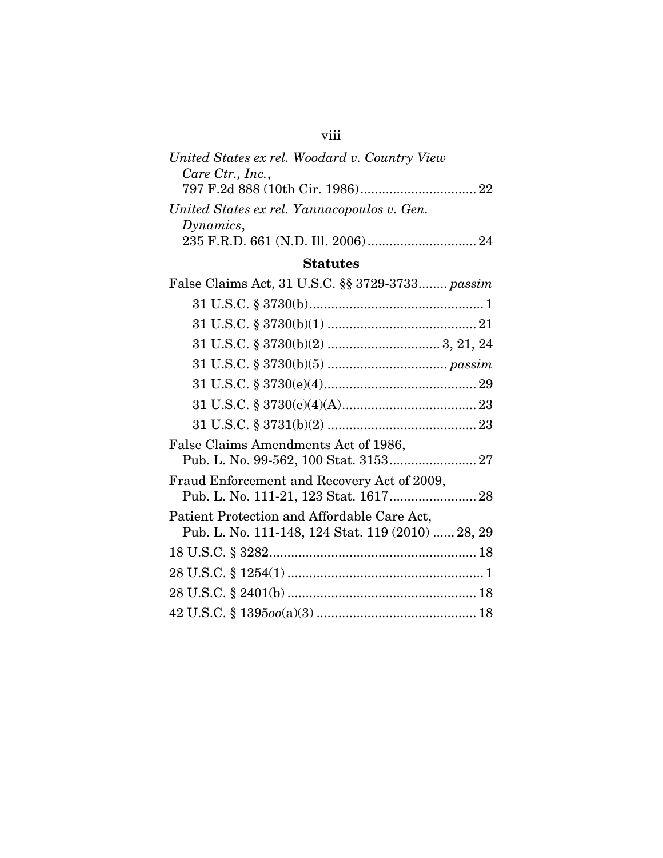| United States ex rel. Woodard v. Country View |  |
|-----------------------------------------------|--|
| Care Ctr., Inc.,                              |  |
|                                               |  |
| United States ex rel. Yannacopoulos v. Gen.   |  |
| Dynamics,                                     |  |
|                                               |  |
|                                               |  |

viii

# Statutes

| False Claims Act, 31 U.S.C. §§ 3729-3733 passim                                                  |  |
|--------------------------------------------------------------------------------------------------|--|
|                                                                                                  |  |
|                                                                                                  |  |
|                                                                                                  |  |
|                                                                                                  |  |
|                                                                                                  |  |
|                                                                                                  |  |
|                                                                                                  |  |
| False Claims Amendments Act of 1986,                                                             |  |
| Fraud Enforcement and Recovery Act of 2009,                                                      |  |
| Patient Protection and Affordable Care Act,<br>Pub. L. No. 111-148, 124 Stat. 119 (2010)  28, 29 |  |
|                                                                                                  |  |
|                                                                                                  |  |
|                                                                                                  |  |
|                                                                                                  |  |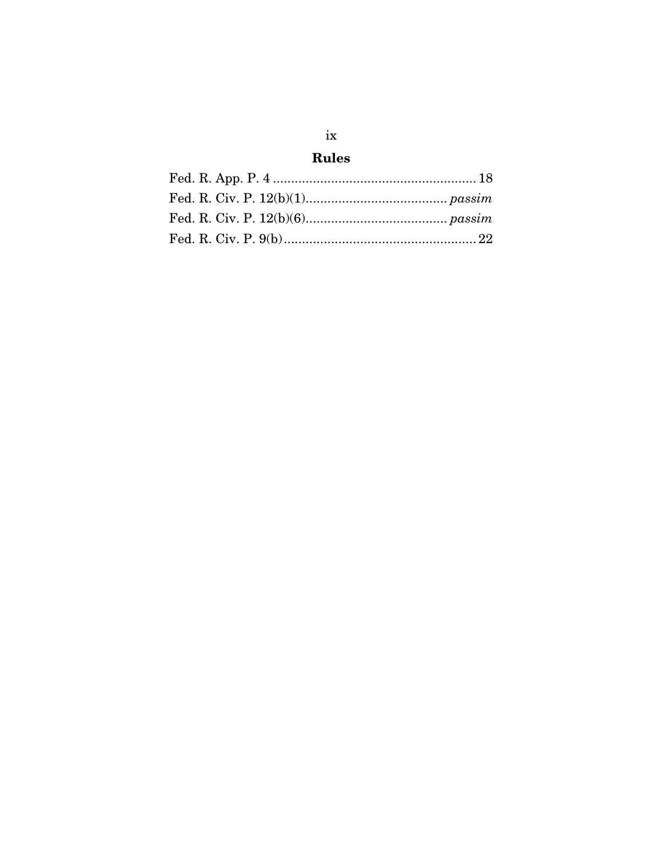# Rules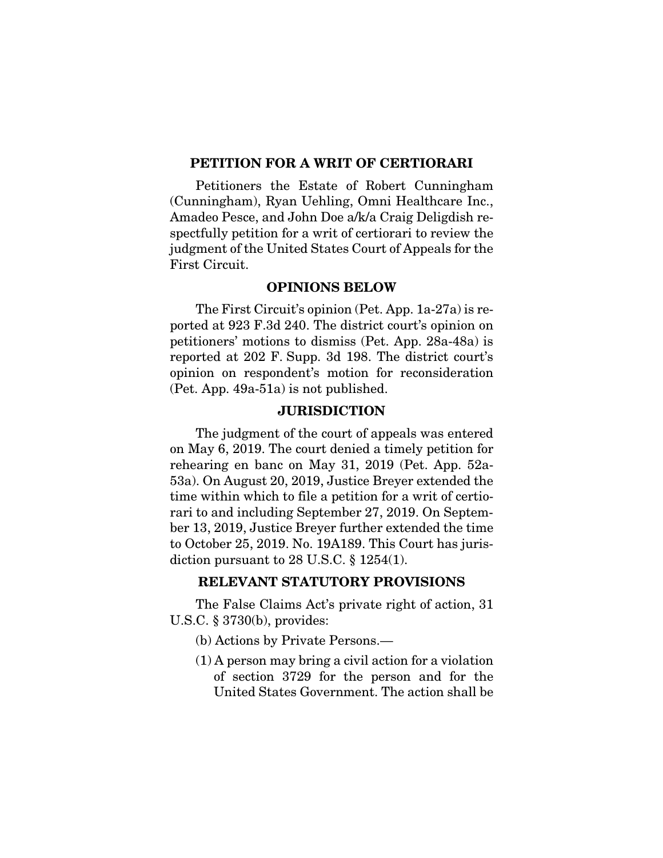#### <span id="page-11-0"></span>PETITION FOR A WRIT OF CERTIORARI

Petitioners the Estate of Robert Cunningham (Cunningham), Ryan Uehling, Omni Healthcare Inc., Amadeo Pesce, and John Doe a/k/a Craig Deligdish respectfully petition for a writ of certiorari to review the judgment of the United States Court of Appeals for the First Circuit.

#### OPINIONS BELOW

<span id="page-11-1"></span>The First Circuit's opinion (Pet. App. 1a-27a) is reported at 923 F.3d 240. The district court's opinion on petitioners' motions to dismiss (Pet. App. 28a-48a) is reported at 202 F. Supp. 3d 198. The district court's opinion on respondent's motion for reconsideration (Pet. App. 49a-51a) is not published.

#### **JURISDICTION**

<span id="page-11-2"></span>The judgment of the court of appeals was entered on May 6, 2019. The court denied a timely petition for rehearing en banc on May 31, 2019 (Pet. App. 52a-53a). On August 20, 2019, Justice Breyer extended the time within which to file a petition for a writ of certiorari to and including September 27, 2019. On September 13, 2019, Justice Breyer further extended the time to October 25, 2019. No. 19A189. This Court has jurisdiction pursuant to 28 U.S.C.  $\S$  1254(1).

#### RELEVANT STATUTORY PROVISIONS

<span id="page-11-3"></span>The False Claims Act's private right of action, 31 U.S.C. § 3730(b), provides:

- (b) Actions by Private Persons.—
- (1) A person may bring a civil action for a violation of section 3729 for the person and for the United States Government. The action shall be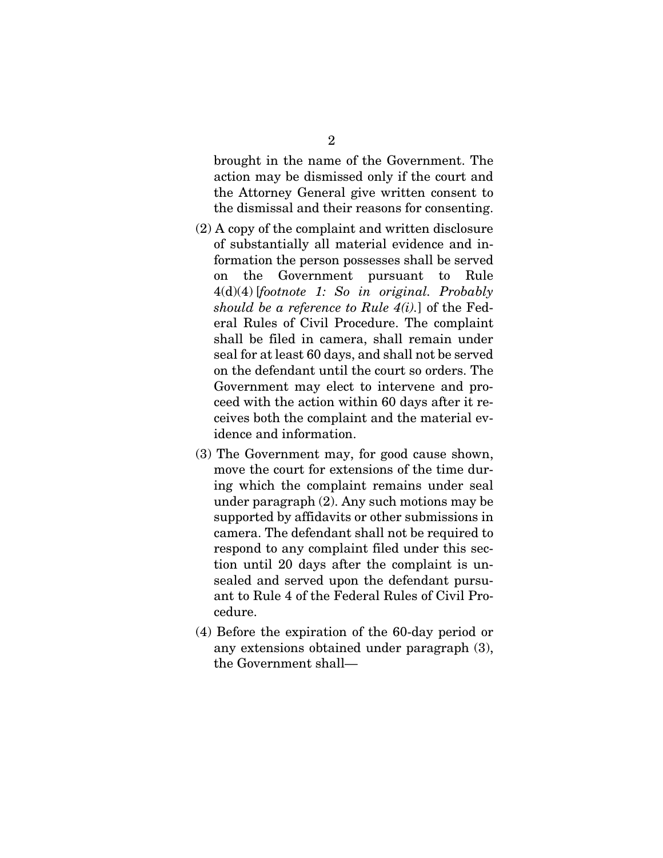brought in the name of the Government. The action may be dismissed only if the court and the Attorney General give written consent to the dismissal and their reasons for consenting.

- (2) A copy of the complaint and written disclosure of substantially all material evidence and information the person possesses shall be served on the Government pursuant to Rule 4(d)(4) [*footnote 1: So in original. Probably should be a reference to Rule 4(i).*] of the Federal Rules of Civil Procedure. The complaint shall be filed in camera, shall remain under seal for at least 60 days, and shall not be served on the defendant until the court so orders. The Government may elect to intervene and proceed with the action within 60 days after it receives both the complaint and the material evidence and information.
- (3) The Government may, for good cause shown, move the court for extensions of the time during which the complaint remains under seal under paragraph (2). Any such motions may be supported by affidavits or other submissions in camera. The defendant shall not be required to respond to any complaint filed under this section until 20 days after the complaint is unsealed and served upon the defendant pursuant to Rule 4 of the Federal Rules of Civil Procedure.
- (4) Before the expiration of the 60-day period or any extensions obtained under paragraph (3), the Government shall—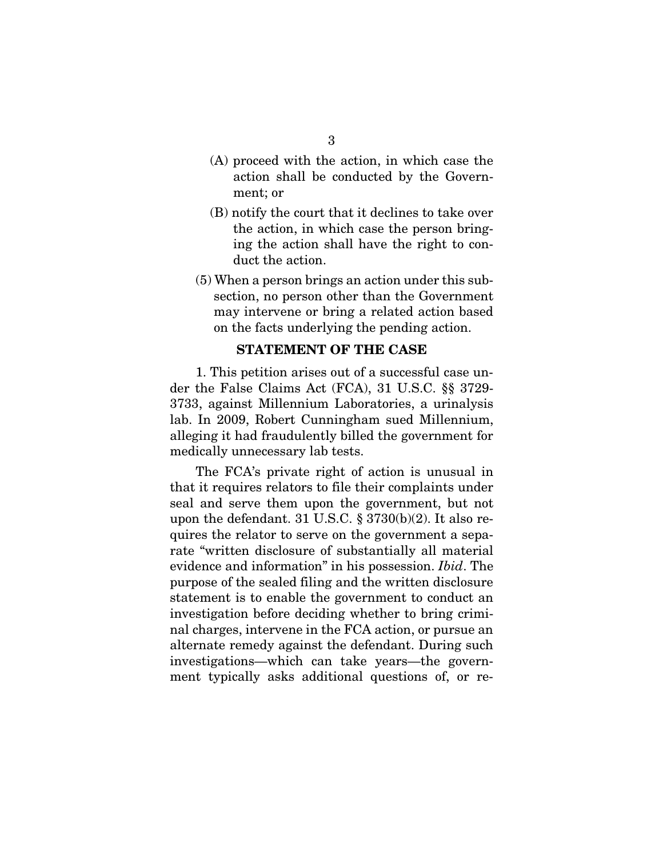- (A) proceed with the action, in which case the action shall be conducted by the Government; or
- (B) notify the court that it declines to take over the action, in which case the person bringing the action shall have the right to conduct the action.
- (5) When a person brings an action under this subsection, no person other than the Government may intervene or bring a related action based on the facts underlying the pending action.

#### STATEMENT OF THE CASE

<span id="page-13-0"></span>1. This petition arises out of a successful case under the False Claims Act (FCA), 31 U.S.C. §§ 3729- 3733, against Millennium Laboratories, a urinalysis lab. In 2009, Robert Cunningham sued Millennium, alleging it had fraudulently billed the government for medically unnecessary lab tests.

The FCA's private right of action is unusual in that it requires relators to file their complaints under seal and serve them upon the government, but not upon the defendant. 31 U.S.C.  $\S 3730(b)(2)$ . It also requires the relator to serve on the government a separate "written disclosure of substantially all material evidence and information" in his possession. *Ibid*. The purpose of the sealed filing and the written disclosure statement is to enable the government to conduct an investigation before deciding whether to bring criminal charges, intervene in the FCA action, or pursue an alternate remedy against the defendant. During such investigations—which can take years—the government typically asks additional questions of, or re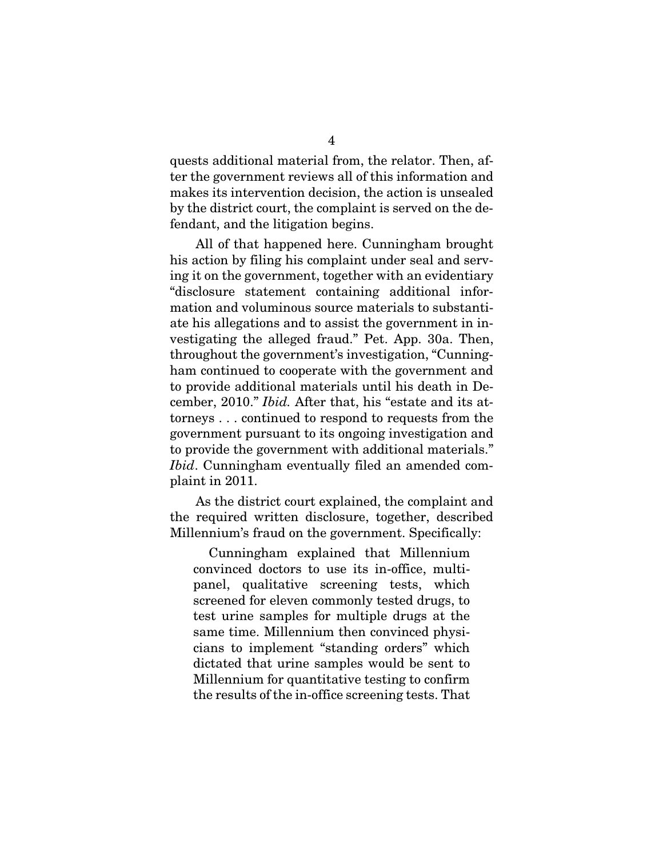quests additional material from, the relator. Then, after the government reviews all of this information and makes its intervention decision, the action is unsealed by the district court, the complaint is served on the defendant, and the litigation begins.

All of that happened here. Cunningham brought his action by filing his complaint under seal and serving it on the government, together with an evidentiary "disclosure statement containing additional information and voluminous source materials to substantiate his allegations and to assist the government in investigating the alleged fraud." Pet. App. 30a. Then, throughout the government's investigation, "Cunningham continued to cooperate with the government and to provide additional materials until his death in December, 2010." *Ibid.* After that, his "estate and its attorneys . . . continued to respond to requests from the government pursuant to its ongoing investigation and to provide the government with additional materials." *Ibid*. Cunningham eventually filed an amended complaint in 2011.

As the district court explained, the complaint and the required written disclosure, together, described Millennium's fraud on the government. Specifically:

Cunningham explained that Millennium convinced doctors to use its in-office, multipanel, qualitative screening tests, which screened for eleven commonly tested drugs, to test urine samples for multiple drugs at the same time. Millennium then convinced physicians to implement "standing orders" which dictated that urine samples would be sent to Millennium for quantitative testing to confirm the results of the in-office screening tests. That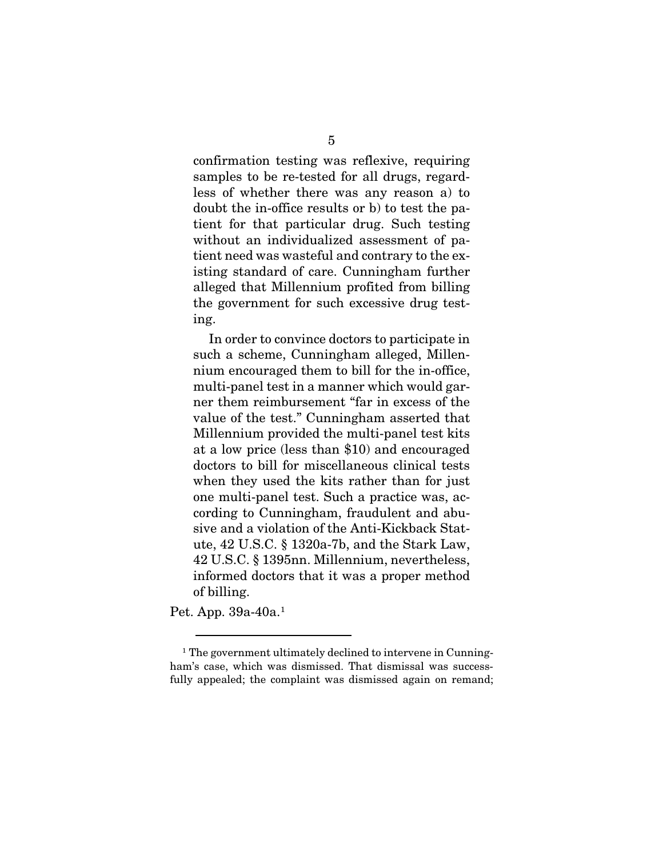confirmation testing was reflexive, requiring samples to be re-tested for all drugs, regardless of whether there was any reason a) to doubt the in-office results or b) to test the patient for that particular drug. Such testing without an individualized assessment of patient need was wasteful and contrary to the existing standard of care. Cunningham further alleged that Millennium profited from billing the government for such excessive drug testing.

In order to convince doctors to participate in such a scheme, Cunningham alleged, Millennium encouraged them to bill for the in-office, multi-panel test in a manner which would garner them reimbursement "far in excess of the value of the test." Cunningham asserted that Millennium provided the multi-panel test kits at a low price (less than \$10) and encouraged doctors to bill for miscellaneous clinical tests when they used the kits rather than for just one multi-panel test. Such a practice was, according to Cunningham, fraudulent and abusive and a violation of the Anti-Kickback Statute, 42 U.S.C. § 1320a-7b, and the Stark Law, 42 U.S.C. § 1395nn. Millennium, nevertheless, informed doctors that it was a proper method of billing.

Pet. App. 39a-40a. [1](#page-15-0)

<span id="page-15-0"></span><sup>&</sup>lt;sup>1</sup> The government ultimately declined to intervene in Cunningham's case, which was dismissed. That dismissal was successfully appealed; the complaint was dismissed again on remand;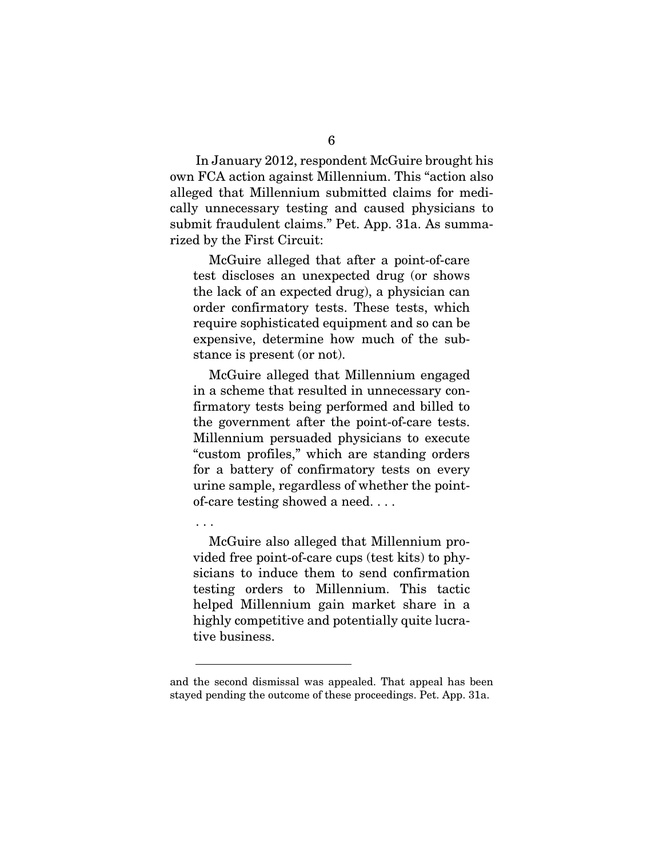In January 2012, respondent McGuire brought his own FCA action against Millennium. This "action also alleged that Millennium submitted claims for medically unnecessary testing and caused physicians to submit fraudulent claims." Pet. App. 31a. As summarized by the First Circuit:

McGuire alleged that after a point-of-care test discloses an unexpected drug (or shows the lack of an expected drug), a physician can order confirmatory tests. These tests, which require sophisticated equipment and so can be expensive, determine how much of the substance is present (or not).

McGuire alleged that Millennium engaged in a scheme that resulted in unnecessary confirmatory tests being performed and billed to the government after the point-of-care tests. Millennium persuaded physicians to execute "custom profiles," which are standing orders for a battery of confirmatory tests on every urine sample, regardless of whether the pointof-care testing showed a need. . . .

. . .

McGuire also alleged that Millennium provided free point-of-care cups (test kits) to physicians to induce them to send confirmation testing orders to Millennium. This tactic helped Millennium gain market share in a highly competitive and potentially quite lucrative business.

and the second dismissal was appealed. That appeal has been stayed pending the outcome of these proceedings. Pet. App. 31a.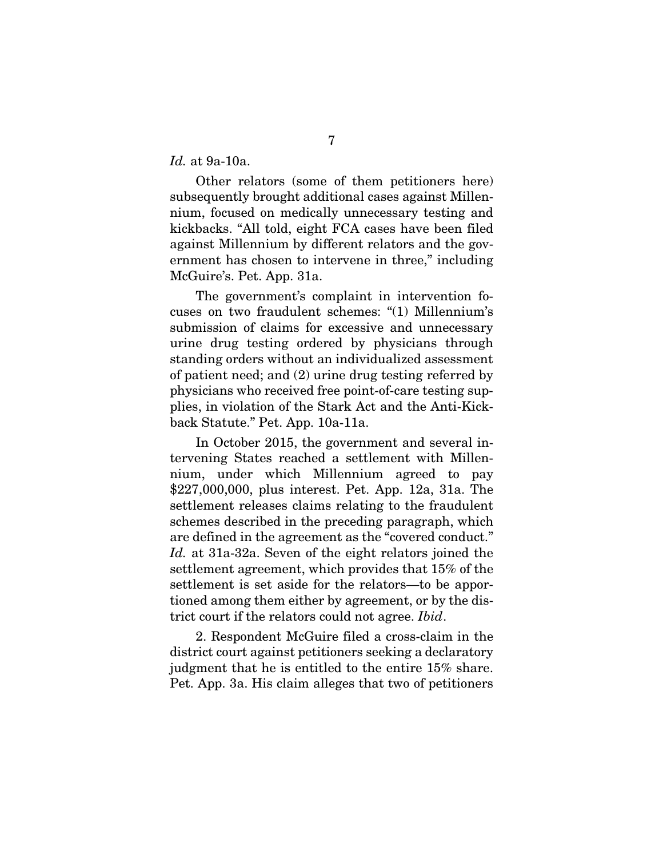*Id.* at 9a-10a.

Other relators (some of them petitioners here) subsequently brought additional cases against Millennium, focused on medically unnecessary testing and kickbacks. "All told, eight FCA cases have been filed against Millennium by different relators and the government has chosen to intervene in three," including McGuire's. Pet. App. 31a.

The government's complaint in intervention focuses on two fraudulent schemes: "(1) Millennium's submission of claims for excessive and unnecessary urine drug testing ordered by physicians through standing orders without an individualized assessment of patient need; and (2) urine drug testing referred by physicians who received free point-of-care testing supplies, in violation of the Stark Act and the Anti-Kickback Statute." Pet. App. 10a-11a.

In October 2015, the government and several intervening States reached a settlement with Millennium, under which Millennium agreed to pay \$227,000,000, plus interest. Pet. App. 12a, 31a. The settlement releases claims relating to the fraudulent schemes described in the preceding paragraph, which are defined in the agreement as the "covered conduct." *Id.* at 31a-32a. Seven of the eight relators joined the settlement agreement, which provides that 15% of the settlement is set aside for the relators—to be apportioned among them either by agreement, or by the district court if the relators could not agree. *Ibid*.

2. Respondent McGuire filed a cross-claim in the district court against petitioners seeking a declaratory judgment that he is entitled to the entire 15% share. Pet. App. 3a. His claim alleges that two of petitioners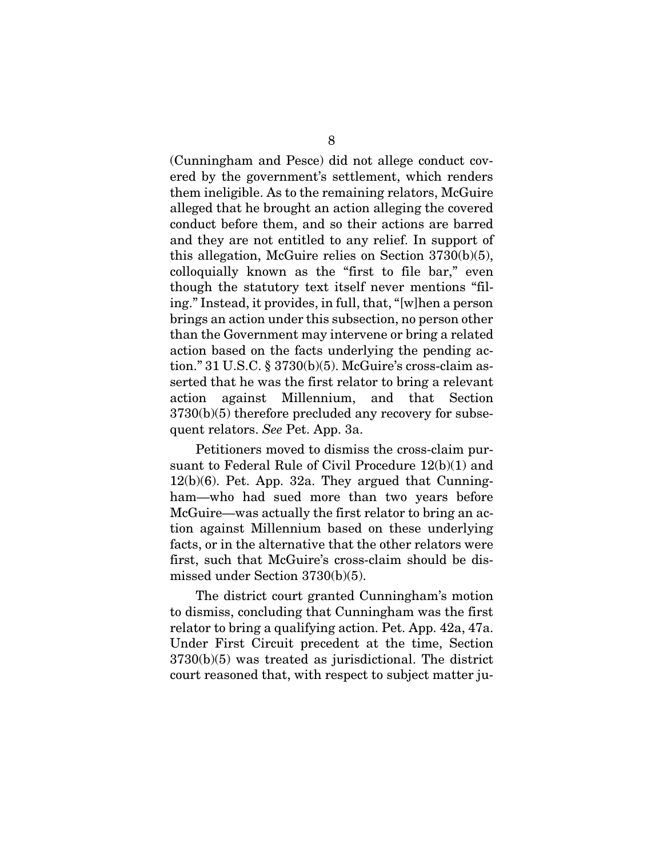(Cunningham and Pesce) did not allege conduct covered by the government's settlement, which renders them ineligible. As to the remaining relators, McGuire alleged that he brought an action alleging the covered conduct before them, and so their actions are barred and they are not entitled to any relief. In support of this allegation, McGuire relies on Section 3730(b)(5), colloquially known as the "first to file bar," even though the statutory text itself never mentions "filing." Instead, it provides, in full, that, "[w]hen a person brings an action under this subsection, no person other than the Government may intervene or bring a related action based on the facts underlying the pending action." 31 U.S.C. § 3730(b)(5). McGuire's cross-claim asserted that he was the first relator to bring a relevant action against Millennium, and that Section 3730(b)(5) therefore precluded any recovery for subsequent relators. *See* Pet. App. 3a.

Petitioners moved to dismiss the cross-claim pursuant to Federal Rule of Civil Procedure 12(b)(1) and 12(b)(6). Pet. App. 32a. They argued that Cunningham—who had sued more than two years before McGuire—was actually the first relator to bring an action against Millennium based on these underlying facts, or in the alternative that the other relators were first, such that McGuire's cross-claim should be dismissed under Section 3730(b)(5).

The district court granted Cunningham's motion to dismiss, concluding that Cunningham was the first relator to bring a qualifying action. Pet. App. 42a, 47a. Under First Circuit precedent at the time, Section 3730(b)(5) was treated as jurisdictional. The district court reasoned that, with respect to subject matter ju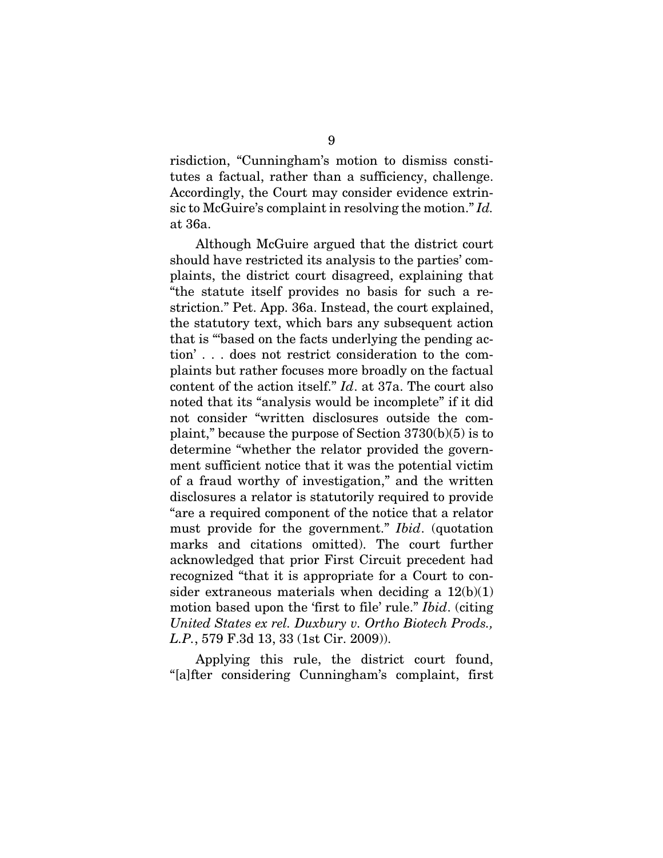risdiction, "Cunningham's motion to dismiss constitutes a factual, rather than a sufficiency, challenge. Accordingly, the Court may consider evidence extrinsic to McGuire's complaint in resolving the motion." *Id.* at 36a.

Although McGuire argued that the district court should have restricted its analysis to the parties' complaints, the district court disagreed, explaining that "the statute itself provides no basis for such a restriction." Pet. App. 36a. Instead, the court explained, the statutory text, which bars any subsequent action that is "'based on the facts underlying the pending action' . . . does not restrict consideration to the complaints but rather focuses more broadly on the factual content of the action itself." *Id*. at 37a. The court also noted that its "analysis would be incomplete" if it did not consider "written disclosures outside the complaint," because the purpose of Section 3730(b)(5) is to determine "whether the relator provided the government sufficient notice that it was the potential victim of a fraud worthy of investigation," and the written disclosures a relator is statutorily required to provide "are a required component of the notice that a relator must provide for the government." *Ibid*. (quotation marks and citations omitted). The court further acknowledged that prior First Circuit precedent had recognized "that it is appropriate for a Court to consider extraneous materials when deciding a  $12(b)(1)$ motion based upon the 'first to file' rule." *Ibid*. (citing *United States ex rel. Duxbury v. Ortho Biotech Prods., L.P.*, 579 F.3d 13, 33 (1st Cir. 2009)).

Applying this rule, the district court found, "[a]fter considering Cunningham's complaint, first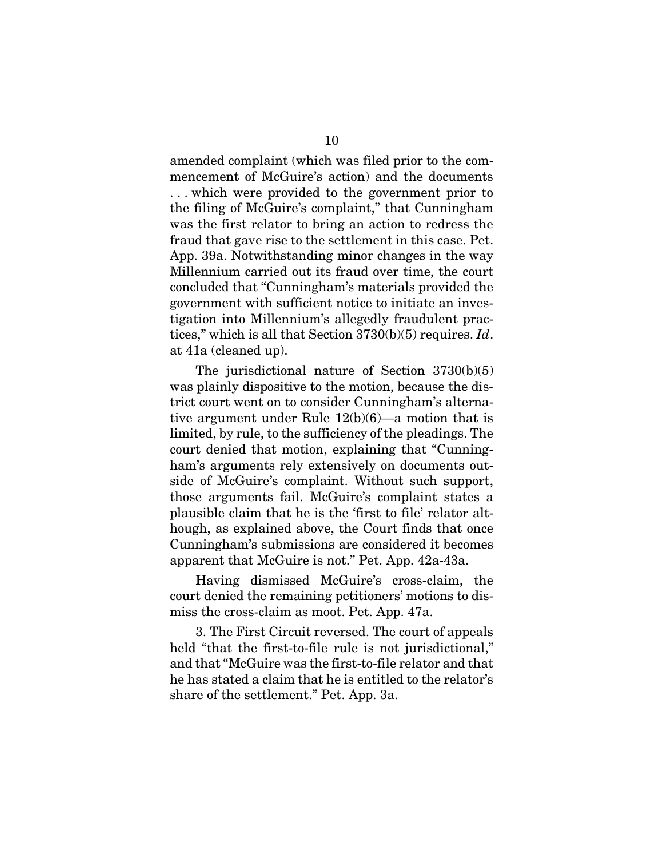amended complaint (which was filed prior to the commencement of McGuire's action) and the documents . . . which were provided to the government prior to the filing of McGuire's complaint," that Cunningham was the first relator to bring an action to redress the fraud that gave rise to the settlement in this case. Pet. App. 39a. Notwithstanding minor changes in the way Millennium carried out its fraud over time, the court concluded that "Cunningham's materials provided the government with sufficient notice to initiate an investigation into Millennium's allegedly fraudulent practices," which is all that Section 3730(b)(5) requires. *Id*. at 41a (cleaned up).

The jurisdictional nature of Section 3730(b)(5) was plainly dispositive to the motion, because the district court went on to consider Cunningham's alternative argument under Rule 12(b)(6)—a motion that is limited, by rule, to the sufficiency of the pleadings. The court denied that motion, explaining that "Cunningham's arguments rely extensively on documents outside of McGuire's complaint. Without such support, those arguments fail. McGuire's complaint states a plausible claim that he is the 'first to file' relator although, as explained above, the Court finds that once Cunningham's submissions are considered it becomes apparent that McGuire is not." Pet. App. 42a-43a.

Having dismissed McGuire's cross-claim, the court denied the remaining petitioners' motions to dismiss the cross-claim as moot. Pet. App. 47a.

3. The First Circuit reversed. The court of appeals held "that the first-to-file rule is not jurisdictional," and that "McGuire was the first-to-file relator and that he has stated a claim that he is entitled to the relator's share of the settlement." Pet. App. 3a.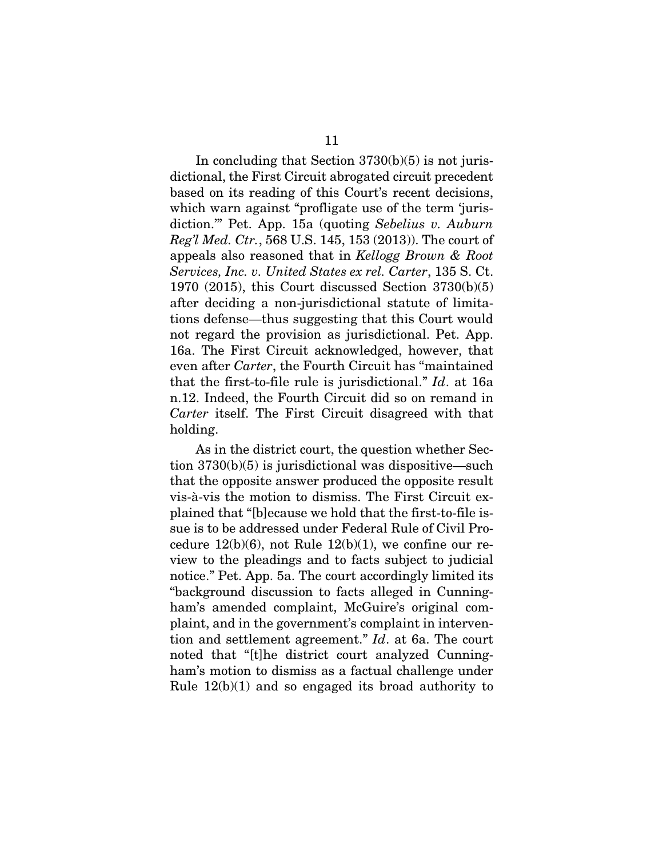In concluding that Section  $3730(b)(5)$  is not jurisdictional, the First Circuit abrogated circuit precedent based on its reading of this Court's recent decisions, which warn against "profligate use of the term 'jurisdiction.'" Pet. App. 15a (quoting *Sebelius v. Auburn Reg'l Med. Ctr.*, 568 U.S. 145, 153 (2013)). The court of appeals also reasoned that in *Kellogg Brown & Root Services, Inc. v. United States ex rel. Carter*, 135 S. Ct. 1970 (2015), this Court discussed Section 3730(b)(5) after deciding a non-jurisdictional statute of limitations defense—thus suggesting that this Court would not regard the provision as jurisdictional. Pet. App. 16a. The First Circuit acknowledged, however, that even after *Carter*, the Fourth Circuit has "maintained that the first-to-file rule is jurisdictional." *Id*. at 16a n.12. Indeed, the Fourth Circuit did so on remand in *Carter* itself. The First Circuit disagreed with that

As in the district court, the question whether Section 3730(b)(5) is jurisdictional was dispositive—such that the opposite answer produced the opposite result vis-à-vis the motion to dismiss. The First Circuit explained that "[b]ecause we hold that the first-to-file issue is to be addressed under Federal Rule of Civil Procedure  $12(b)(6)$ , not Rule  $12(b)(1)$ , we confine our review to the pleadings and to facts subject to judicial notice." Pet. App. 5a. The court accordingly limited its "background discussion to facts alleged in Cunningham's amended complaint, McGuire's original complaint, and in the government's complaint in intervention and settlement agreement." *Id*. at 6a. The court noted that "[t]he district court analyzed Cunningham's motion to dismiss as a factual challenge under Rule 12(b)(1) and so engaged its broad authority to

holding.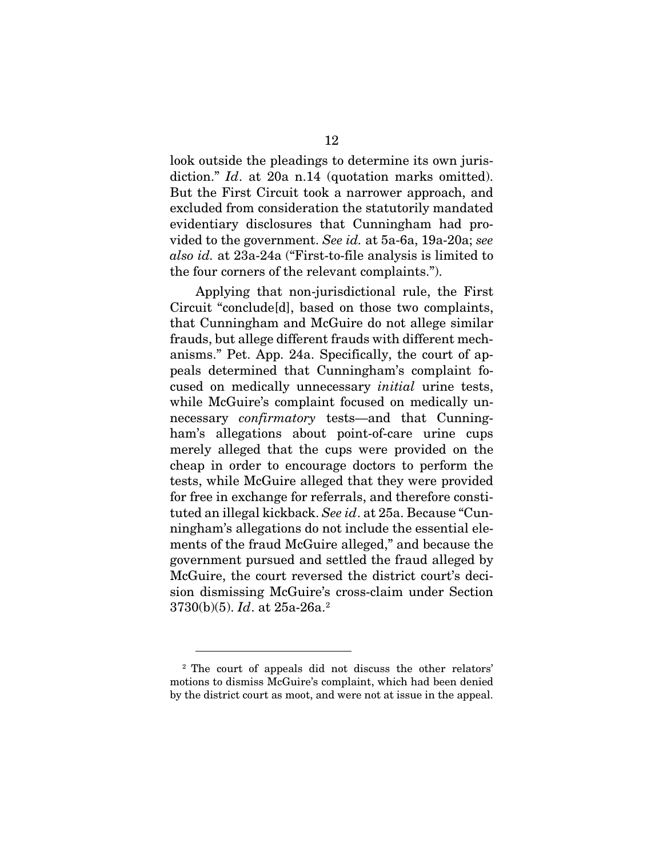look outside the pleadings to determine its own jurisdiction." *Id.* at 20a n.14 (quotation marks omitted). But the First Circuit took a narrower approach, and excluded from consideration the statutorily mandated evidentiary disclosures that Cunningham had provided to the government. *See id.* at 5a-6a, 19a-20a; *see also id.* at 23a-24a ("First-to-file analysis is limited to the four corners of the relevant complaints.").

Applying that non-jurisdictional rule, the First Circuit "conclude[d], based on those two complaints, that Cunningham and McGuire do not allege similar frauds, but allege different frauds with different mechanisms." Pet. App. 24a. Specifically, the court of appeals determined that Cunningham's complaint focused on medically unnecessary *initial* urine tests, while McGuire's complaint focused on medically unnecessary *confirmatory* tests—and that Cunningham's allegations about point-of-care urine cups merely alleged that the cups were provided on the cheap in order to encourage doctors to perform the tests, while McGuire alleged that they were provided for free in exchange for referrals, and therefore constituted an illegal kickback. *See id*. at 25a. Because "Cunningham's allegations do not include the essential elements of the fraud McGuire alleged," and because the government pursued and settled the fraud alleged by McGuire, the court reversed the district court's decision dismissing McGuire's cross-claim under Section 3730(b)(5). *Id*. at 25a-26a.[2](#page-22-0)

<span id="page-22-0"></span><sup>2</sup> The court of appeals did not discuss the other relators' motions to dismiss McGuire's complaint, which had been denied by the district court as moot, and were not at issue in the appeal.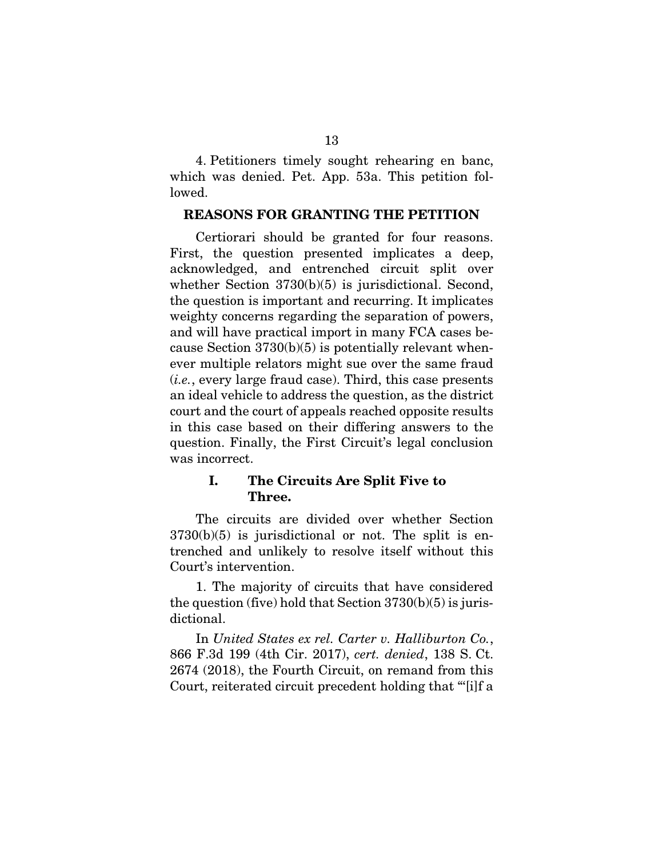4. Petitioners timely sought rehearing en banc, which was denied. Pet. App. 53a. This petition followed.

### <span id="page-23-0"></span>REASONS FOR GRANTING THE PETITION

Certiorari should be granted for four reasons. First, the question presented implicates a deep, acknowledged, and entrenched circuit split over whether Section 3730(b)(5) is jurisdictional. Second, the question is important and recurring. It implicates weighty concerns regarding the separation of powers, and will have practical import in many FCA cases because Section  $3730(b)(5)$  is potentially relevant whenever multiple relators might sue over the same fraud (*i.e.*, every large fraud case). Third, this case presents an ideal vehicle to address the question, as the district court and the court of appeals reached opposite results in this case based on their differing answers to the question. Finally, the First Circuit's legal conclusion was incorrect.

## <span id="page-23-1"></span>I. The Circuits Are Split Five to Three.

The circuits are divided over whether Section  $3730(b)(5)$  is jurisdictional or not. The split is entrenched and unlikely to resolve itself without this Court's intervention.

1. The majority of circuits that have considered the question (five) hold that Section 3730(b)(5) is jurisdictional.

In *United States ex rel. Carter v. Halliburton Co.*, 866 F.3d 199 (4th Cir. 2017), *cert. denied*, 138 S. Ct. 2674 (2018), the Fourth Circuit, on remand from this Court, reiterated circuit precedent holding that "'[i]f a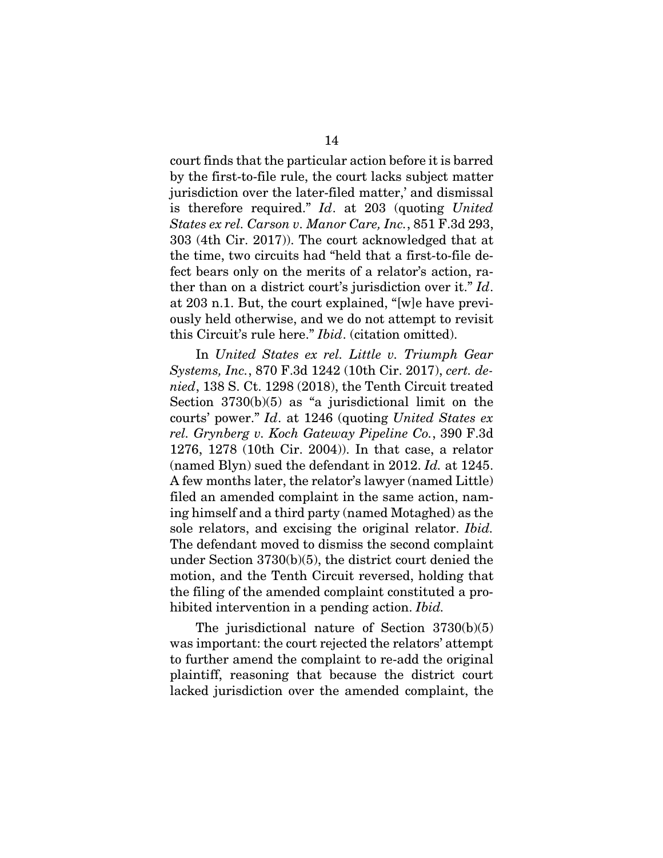court finds that the particular action before it is barred by the first-to-file rule, the court lacks subject matter jurisdiction over the later-filed matter,' and dismissal is therefore required." *Id*. at 203 (quoting *United States ex rel. Carson v. Manor Care, Inc.*, 851 F.3d 293, 303 (4th Cir. 2017)). The court acknowledged that at the time, two circuits had "held that a first-to-file defect bears only on the merits of a relator's action, rather than on a district court's jurisdiction over it." *Id*. at 203 n.1. But, the court explained, "[w]e have previously held otherwise, and we do not attempt to revisit this Circuit's rule here." *Ibid*. (citation omitted).

In *United States ex rel. Little v. Triumph Gear Systems, Inc.*, 870 F.3d 1242 (10th Cir. 2017), *cert. denied*, 138 S. Ct. 1298 (2018), the Tenth Circuit treated Section 3730(b)(5) as "a jurisdictional limit on the courts' power." *Id*. at 1246 (quoting *United States ex rel. Grynberg v. Koch Gateway Pipeline Co.*, 390 F.3d 1276, 1278 (10th Cir. 2004)). In that case, a relator (named Blyn) sued the defendant in 2012. *Id.* at 1245. A few months later, the relator's lawyer (named Little) filed an amended complaint in the same action, naming himself and a third party (named Motaghed) as the sole relators, and excising the original relator. *Ibid.* The defendant moved to dismiss the second complaint under Section 3730(b)(5), the district court denied the motion, and the Tenth Circuit reversed, holding that the filing of the amended complaint constituted a prohibited intervention in a pending action. *Ibid.*

The jurisdictional nature of Section 3730(b)(5) was important: the court rejected the relators' attempt to further amend the complaint to re-add the original plaintiff, reasoning that because the district court lacked jurisdiction over the amended complaint, the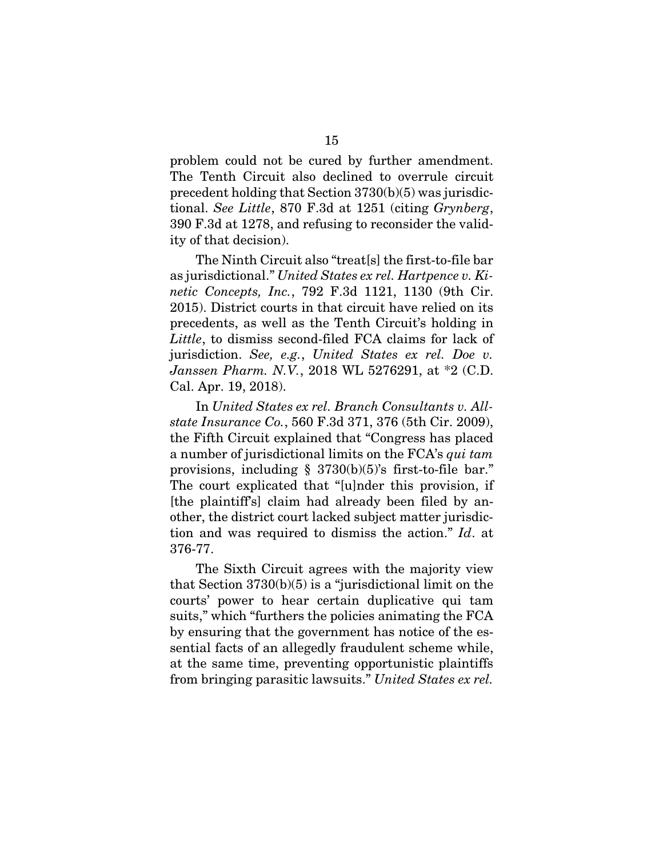problem could not be cured by further amendment. The Tenth Circuit also declined to overrule circuit precedent holding that Section 3730(b)(5) was jurisdictional. *See Little*, 870 F.3d at 1251 (citing *Grynberg*, 390 F.3d at 1278, and refusing to reconsider the validity of that decision).

The Ninth Circuit also "treat[s] the first-to-file bar as jurisdictional." *United States ex rel. Hartpence v. Kinetic Concepts, Inc.*, 792 F.3d 1121, 1130 (9th Cir. 2015). District courts in that circuit have relied on its precedents, as well as the Tenth Circuit's holding in *Little*, to dismiss second-filed FCA claims for lack of jurisdiction. *See, e.g.*, *United States ex rel. Doe v. Janssen Pharm. N.V.*, 2018 WL 5276291, at \*2 (C.D. Cal. Apr. 19, 2018).

In *United States ex rel. Branch Consultants v. Allstate Insurance Co.*, 560 F.3d 371, 376 (5th Cir. 2009), the Fifth Circuit explained that "Congress has placed a number of jurisdictional limits on the FCA's *qui tam*  provisions, including  $\S$  3730(b)(5)'s first-to-file bar." The court explicated that "[u]nder this provision, if [the plaintiff's] claim had already been filed by another, the district court lacked subject matter jurisdiction and was required to dismiss the action." *Id*. at 376-77.

The Sixth Circuit agrees with the majority view that Section  $3730(b)(5)$  is a "jurisdictional limit on the courts' power to hear certain duplicative qui tam suits," which "furthers the policies animating the FCA by ensuring that the government has notice of the essential facts of an allegedly fraudulent scheme while, at the same time, preventing opportunistic plaintiffs from bringing parasitic lawsuits." *United States ex rel.*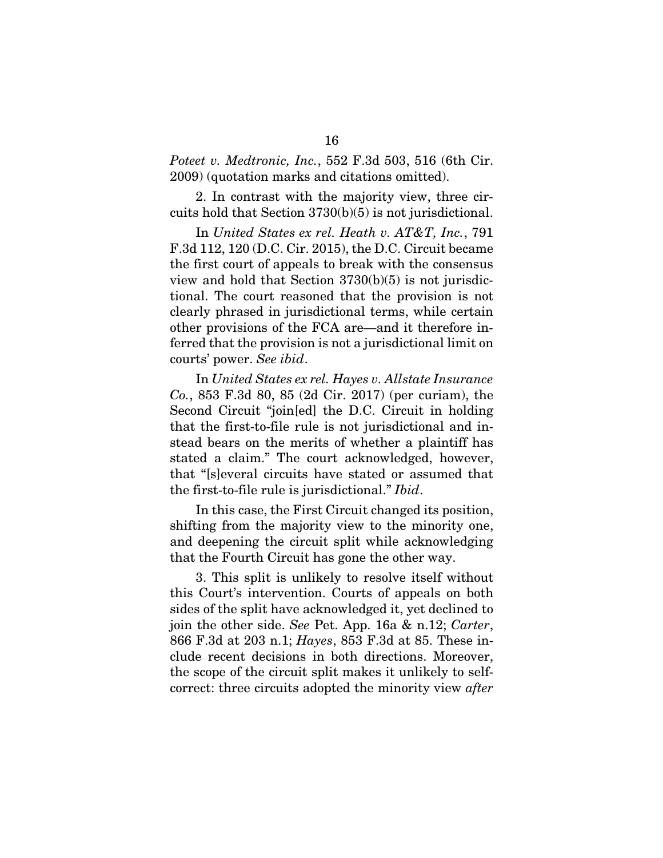*Poteet v. Medtronic, Inc.*, 552 F.3d 503, 516 (6th Cir. 2009) (quotation marks and citations omitted).

2. In contrast with the majority view, three circuits hold that Section 3730(b)(5) is not jurisdictional.

In *United States ex rel. Heath v. AT&T, Inc.*, 791 F.3d 112, 120 (D.C. Cir. 2015), the D.C. Circuit became the first court of appeals to break with the consensus view and hold that Section 3730(b)(5) is not jurisdictional. The court reasoned that the provision is not clearly phrased in jurisdictional terms, while certain other provisions of the FCA are—and it therefore inferred that the provision is not a jurisdictional limit on courts' power. *See ibid*.

In *United States ex rel. Hayes v. Allstate Insurance Co.*, 853 F.3d 80, 85 (2d Cir. 2017) (per curiam), the Second Circuit "join[ed] the D.C. Circuit in holding that the first-to-file rule is not jurisdictional and instead bears on the merits of whether a plaintiff has stated a claim." The court acknowledged, however, that "[s]everal circuits have stated or assumed that the first-to-file rule is jurisdictional." *Ibid*.

In this case, the First Circuit changed its position, shifting from the majority view to the minority one, and deepening the circuit split while acknowledging that the Fourth Circuit has gone the other way.

3. This split is unlikely to resolve itself without this Court's intervention. Courts of appeals on both sides of the split have acknowledged it, yet declined to join the other side. *See* Pet. App. 16a & n.12; *Carter*, 866 F.3d at 203 n.1; *Hayes*, 853 F.3d at 85. These include recent decisions in both directions. Moreover, the scope of the circuit split makes it unlikely to selfcorrect: three circuits adopted the minority view *after*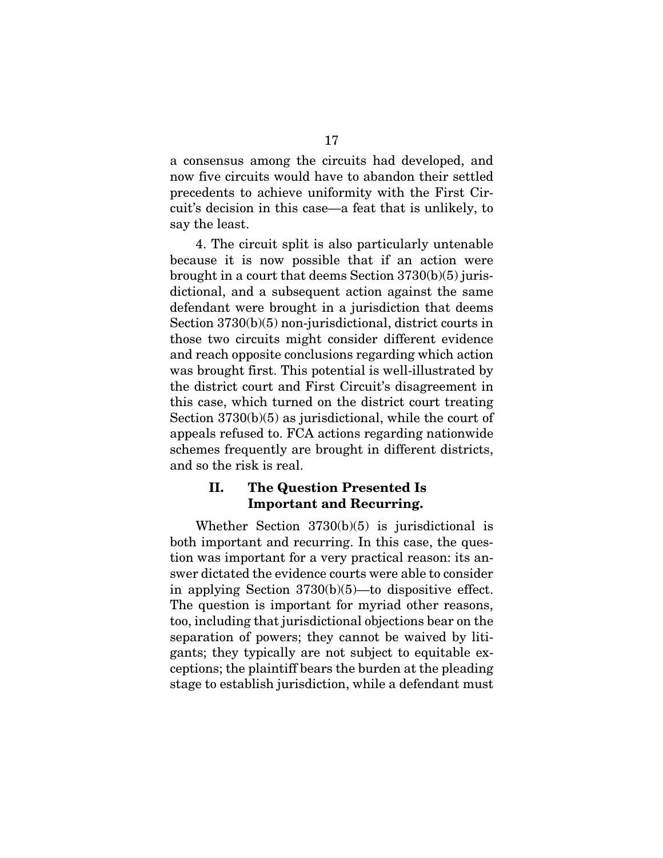a consensus among the circuits had developed, and now five circuits would have to abandon their settled precedents to achieve uniformity with the First Circuit's decision in this case—a feat that is unlikely, to say the least.

4. The circuit split is also particularly untenable because it is now possible that if an action were brought in a court that deems Section 3730(b)(5) jurisdictional, and a subsequent action against the same defendant were brought in a jurisdiction that deems Section 3730(b)(5) non-jurisdictional, district courts in those two circuits might consider different evidence and reach opposite conclusions regarding which action was brought first. This potential is well-illustrated by the district court and First Circuit's disagreement in this case, which turned on the district court treating Section 3730(b)(5) as jurisdictional, while the court of appeals refused to. FCA actions regarding nationwide schemes frequently are brought in different districts, and so the risk is real.

## <span id="page-27-0"></span>II. The Question Presented Is Important and Recurring.

Whether Section 3730(b)(5) is jurisdictional is both important and recurring. In this case, the question was important for a very practical reason: its answer dictated the evidence courts were able to consider in applying Section 3730(b)(5)—to dispositive effect. The question is important for myriad other reasons, too, including that jurisdictional objections bear on the separation of powers; they cannot be waived by litigants; they typically are not subject to equitable exceptions; the plaintiff bears the burden at the pleading stage to establish jurisdiction, while a defendant must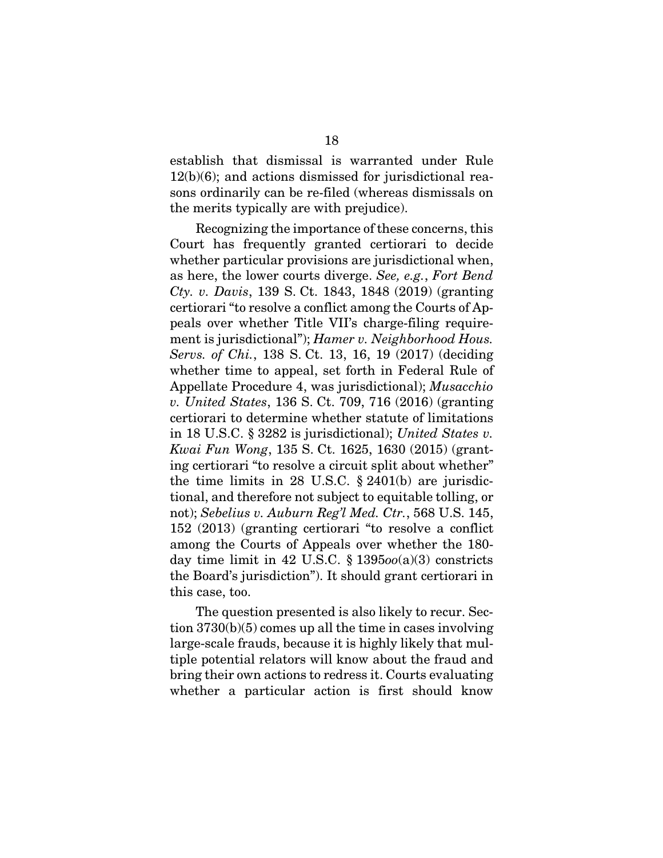establish that dismissal is warranted under Rule 12(b)(6); and actions dismissed for jurisdictional reasons ordinarily can be re-filed (whereas dismissals on the merits typically are with prejudice).

Recognizing the importance of these concerns, this Court has frequently granted certiorari to decide whether particular provisions are jurisdictional when, as here, the lower courts diverge. *See, e.g.*, *Fort Bend Cty. v. Davis*, 139 S. Ct. 1843, 1848 (2019) (granting certiorari "to resolve a conflict among the Courts of Appeals over whether Title VII's charge-filing requirement is jurisdictional"); *Hamer v. Neighborhood Hous. Servs. of Chi.*, 138 S. Ct. 13, 16, 19 (2017) (deciding whether time to appeal, set forth in Federal Rule of Appellate Procedure 4, was jurisdictional); *Musacchio v. United States*, 136 S. Ct. 709, 716 (2016) (granting certiorari to determine whether statute of limitations in 18 U.S.C. § 3282 is jurisdictional); *United States v. Kwai Fun Wong*, 135 S. Ct. 1625, 1630 (2015) (granting certiorari "to resolve a circuit split about whether" the time limits in 28 U.S.C.  $\S 2401(b)$  are jurisdictional, and therefore not subject to equitable tolling, or not); *Sebelius v. Auburn Reg'l Med. Ctr.*, 568 U.S. 145, 152 (2013) (granting certiorari "to resolve a conflict among the Courts of Appeals over whether the 180 day time limit in 42 U.S.C. § 1395*oo*(a)(3) constricts the Board's jurisdiction"). It should grant certiorari in this case, too.

The question presented is also likely to recur. Section 3730(b)(5) comes up all the time in cases involving large-scale frauds, because it is highly likely that multiple potential relators will know about the fraud and bring their own actions to redress it. Courts evaluating whether a particular action is first should know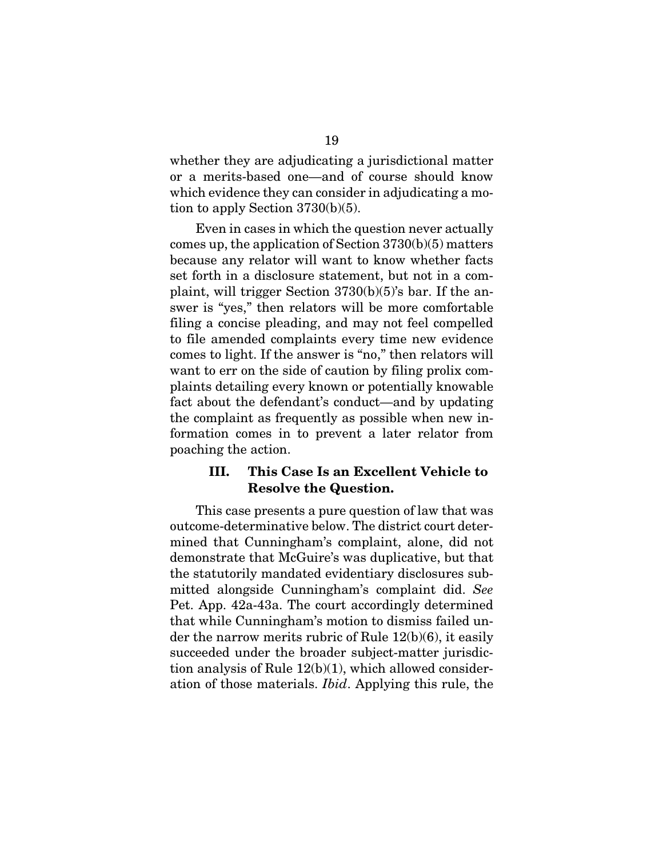whether they are adjudicating a jurisdictional matter or a merits-based one—and of course should know which evidence they can consider in adjudicating a motion to apply Section 3730(b)(5).

Even in cases in which the question never actually comes up, the application of Section 3730(b)(5) matters because any relator will want to know whether facts set forth in a disclosure statement, but not in a complaint, will trigger Section 3730(b)(5)'s bar. If the answer is "yes," then relators will be more comfortable filing a concise pleading, and may not feel compelled to file amended complaints every time new evidence comes to light. If the answer is "no," then relators will want to err on the side of caution by filing prolix complaints detailing every known or potentially knowable fact about the defendant's conduct—and by updating the complaint as frequently as possible when new information comes in to prevent a later relator from poaching the action.

## <span id="page-29-0"></span>III. This Case Is an Excellent Vehicle to Resolve the Question.

This case presents a pure question of law that was outcome-determinative below. The district court determined that Cunningham's complaint, alone, did not demonstrate that McGuire's was duplicative, but that the statutorily mandated evidentiary disclosures submitted alongside Cunningham's complaint did. *See* Pet. App. 42a-43a. The court accordingly determined that while Cunningham's motion to dismiss failed under the narrow merits rubric of Rule 12(b)(6), it easily succeeded under the broader subject-matter jurisdiction analysis of Rule 12(b)(1), which allowed consideration of those materials. *Ibid*. Applying this rule, the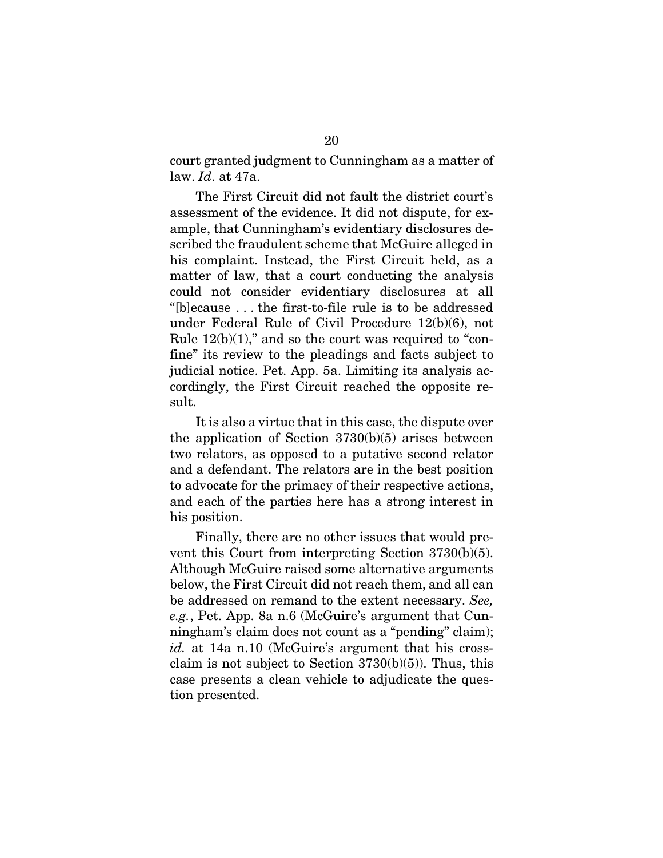court granted judgment to Cunningham as a matter of law. *Id*. at 47a.

The First Circuit did not fault the district court's assessment of the evidence. It did not dispute, for example, that Cunningham's evidentiary disclosures described the fraudulent scheme that McGuire alleged in his complaint. Instead, the First Circuit held, as a matter of law, that a court conducting the analysis could not consider evidentiary disclosures at all "[b]ecause . . . the first-to-file rule is to be addressed under Federal Rule of Civil Procedure 12(b)(6), not Rule  $12(b)(1)$ ," and so the court was required to "confine" its review to the pleadings and facts subject to judicial notice. Pet. App. 5a. Limiting its analysis accordingly, the First Circuit reached the opposite result.

It is also a virtue that in this case, the dispute over the application of Section 3730(b)(5) arises between two relators, as opposed to a putative second relator and a defendant. The relators are in the best position to advocate for the primacy of their respective actions, and each of the parties here has a strong interest in his position.

Finally, there are no other issues that would prevent this Court from interpreting Section 3730(b)(5). Although McGuire raised some alternative arguments below, the First Circuit did not reach them, and all can be addressed on remand to the extent necessary. *See, e.g.*, Pet. App. 8a n.6 (McGuire's argument that Cunningham's claim does not count as a "pending" claim); *id.* at 14a n.10 (McGuire's argument that his crossclaim is not subject to Section  $3730(b)(5)$ . Thus, this case presents a clean vehicle to adjudicate the question presented.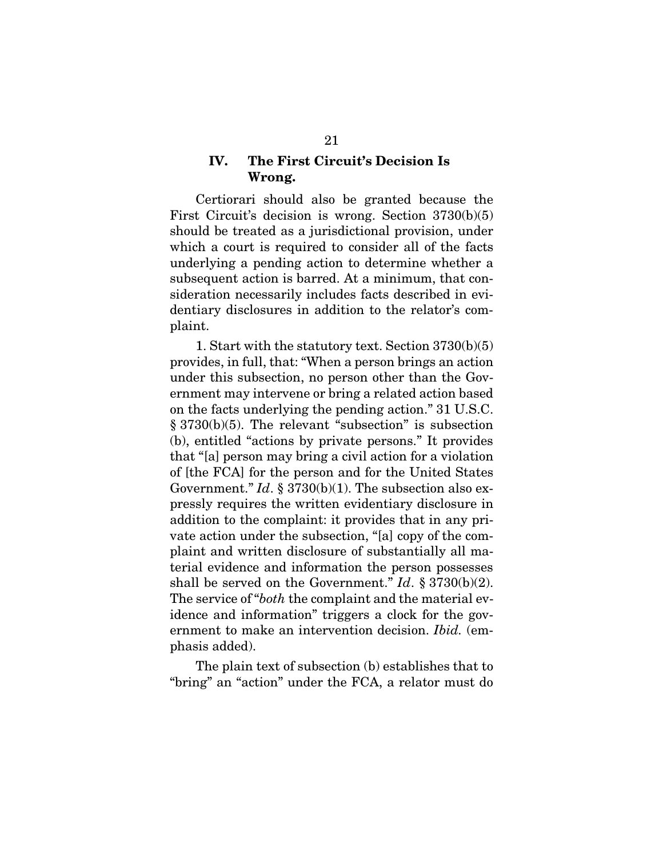### <span id="page-31-0"></span>IV. The First Circuit's Decision Is Wrong.

Certiorari should also be granted because the First Circuit's decision is wrong. Section 3730(b)(5) should be treated as a jurisdictional provision, under which a court is required to consider all of the facts underlying a pending action to determine whether a subsequent action is barred. At a minimum, that consideration necessarily includes facts described in evidentiary disclosures in addition to the relator's complaint.

1. Start with the statutory text. Section 3730(b)(5) provides, in full, that: "When a person brings an action under this subsection, no person other than the Government may intervene or bring a related action based on the facts underlying the pending action." 31 U.S.C. § 3730(b)(5). The relevant "subsection" is subsection (b), entitled "actions by private persons." It provides that "[a] person may bring a civil action for a violation of [the FCA] for the person and for the United States Government." *Id.* § 3730(b)(1). The subsection also expressly requires the written evidentiary disclosure in addition to the complaint: it provides that in any private action under the subsection, "[a] copy of the complaint and written disclosure of substantially all material evidence and information the person possesses shall be served on the Government." *Id*. § 3730(b)(2). The service of "*both* the complaint and the material evidence and information" triggers a clock for the government to make an intervention decision. *Ibid.* (emphasis added).

The plain text of subsection (b) establishes that to "bring" an "action" under the FCA, a relator must do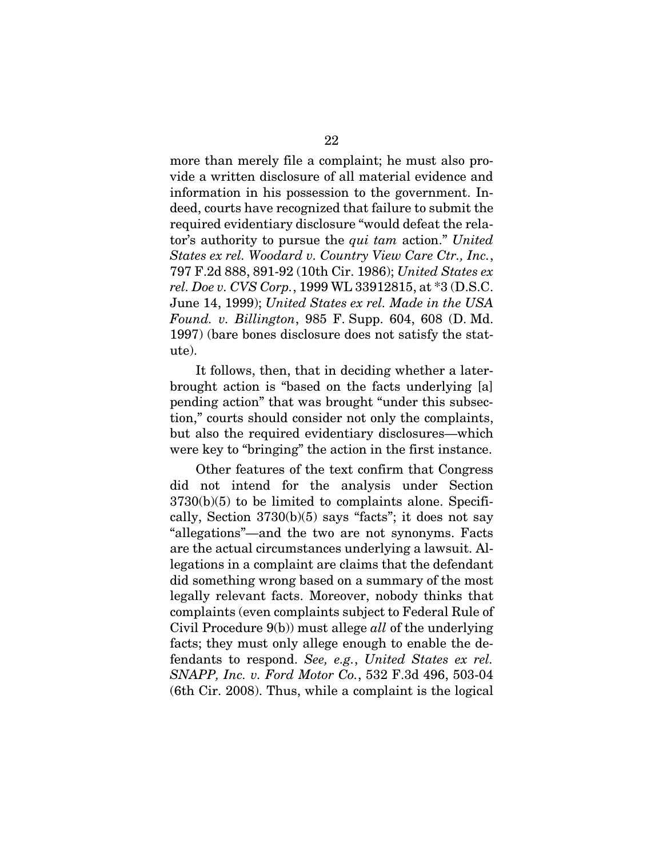more than merely file a complaint; he must also provide a written disclosure of all material evidence and information in his possession to the government. Indeed, courts have recognized that failure to submit the required evidentiary disclosure "would defeat the relator's authority to pursue the *qui tam* action." *United States ex rel. Woodard v. Country View Care Ctr., Inc.*, 797 F.2d 888, 891-92 (10th Cir. 1986); *United States ex rel. Doe v. CVS Corp.*, 1999 WL 33912815, at \*3 (D.S.C. June 14, 1999); *United States ex rel. Made in the USA Found. v. Billington*, 985 F. Supp. 604, 608 (D. Md. 1997) (bare bones disclosure does not satisfy the statute).

It follows, then, that in deciding whether a laterbrought action is "based on the facts underlying [a] pending action" that was brought "under this subsection," courts should consider not only the complaints, but also the required evidentiary disclosures—which were key to "bringing" the action in the first instance.

Other features of the text confirm that Congress did not intend for the analysis under Section  $3730(b)(5)$  to be limited to complaints alone. Specifically, Section  $3730(b)(5)$  says "facts"; it does not say "allegations"—and the two are not synonyms. Facts are the actual circumstances underlying a lawsuit. Allegations in a complaint are claims that the defendant did something wrong based on a summary of the most legally relevant facts. Moreover, nobody thinks that complaints (even complaints subject to Federal Rule of Civil Procedure 9(b)) must allege *all* of the underlying facts; they must only allege enough to enable the defendants to respond. *See, e.g.*, *United States ex rel. SNAPP, Inc. v. Ford Motor Co.*, 532 F.3d 496, 503-04 (6th Cir. 2008). Thus, while a complaint is the logical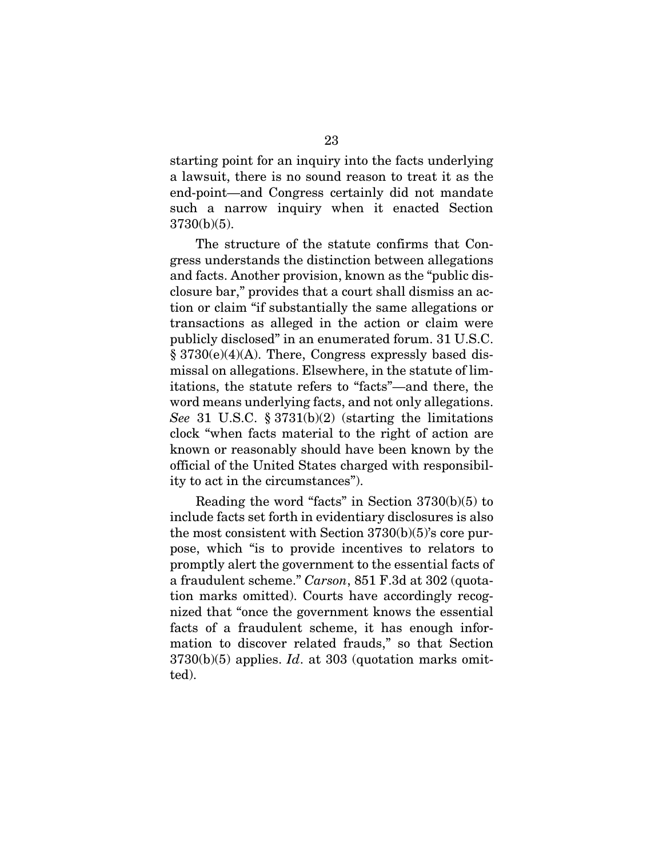starting point for an inquiry into the facts underlying a lawsuit, there is no sound reason to treat it as the end-point—and Congress certainly did not mandate such a narrow inquiry when it enacted Section 3730(b)(5).

The structure of the statute confirms that Congress understands the distinction between allegations and facts. Another provision, known as the "public disclosure bar," provides that a court shall dismiss an action or claim "if substantially the same allegations or transactions as alleged in the action or claim were publicly disclosed" in an enumerated forum. 31 U.S.C. § 3730(e)(4)(A). There, Congress expressly based dismissal on allegations. Elsewhere, in the statute of limitations, the statute refers to "facts"—and there, the word means underlying facts, and not only allegations. *See* 31 U.S.C. § 3731(b)(2) (starting the limitations clock "when facts material to the right of action are known or reasonably should have been known by the official of the United States charged with responsibility to act in the circumstances").

Reading the word "facts" in Section 3730(b)(5) to include facts set forth in evidentiary disclosures is also the most consistent with Section 3730(b)(5)'s core purpose, which "is to provide incentives to relators to promptly alert the government to the essential facts of a fraudulent scheme." *Carson*, 851 F.3d at 302 (quotation marks omitted). Courts have accordingly recognized that "once the government knows the essential facts of a fraudulent scheme, it has enough information to discover related frauds," so that Section 3730(b)(5) applies. *Id*. at 303 (quotation marks omitted).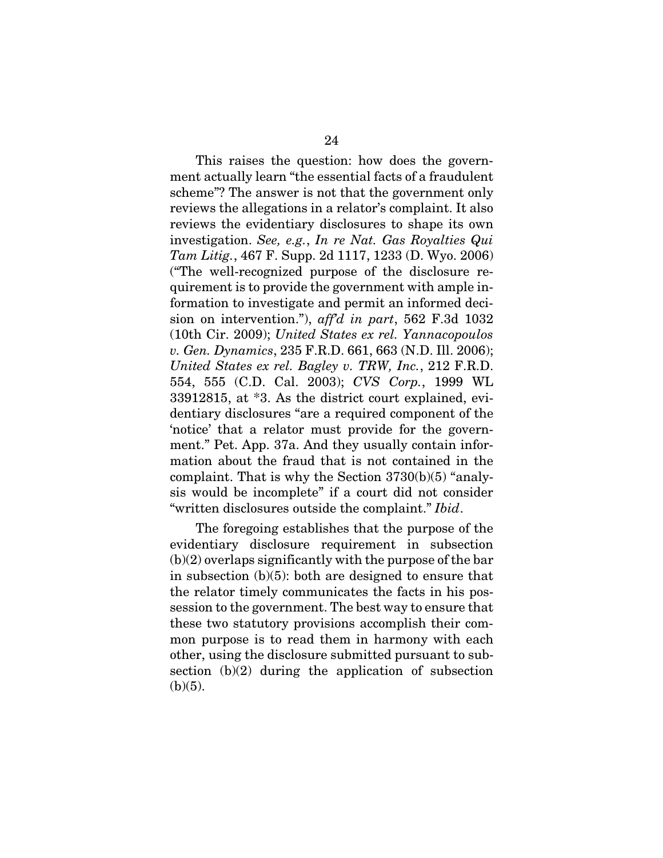This raises the question: how does the government actually learn "the essential facts of a fraudulent scheme"? The answer is not that the government only reviews the allegations in a relator's complaint. It also reviews the evidentiary disclosures to shape its own investigation. *See, e.g.*, *In re Nat. Gas Royalties Qui Tam Litig.*, 467 F. Supp. 2d 1117, 1233 (D. Wyo. 2006) ("The well-recognized purpose of the disclosure requirement is to provide the government with ample information to investigate and permit an informed decision on intervention."), *aff'd in part*, 562 F.3d 1032 (10th Cir. 2009); *United States ex rel. Yannacopoulos v. Gen. Dynamics*, 235 F.R.D. 661, 663 (N.D. Ill. 2006); *United States ex rel. Bagley v. TRW, Inc.*, 212 F.R.D. 554, 555 (C.D. Cal. 2003); *CVS Corp.*, 1999 WL 33912815, at \*3. As the district court explained, evidentiary disclosures "are a required component of the 'notice' that a relator must provide for the government." Pet. App. 37a. And they usually contain information about the fraud that is not contained in the complaint. That is why the Section 3730(b)(5) "analysis would be incomplete" if a court did not consider "written disclosures outside the complaint." *Ibid*.

The foregoing establishes that the purpose of the evidentiary disclosure requirement in subsection  $(b)(2)$  overlaps significantly with the purpose of the bar in subsection (b)(5): both are designed to ensure that the relator timely communicates the facts in his possession to the government. The best way to ensure that these two statutory provisions accomplish their common purpose is to read them in harmony with each other, using the disclosure submitted pursuant to subsection (b)(2) during the application of subsection  $(b)(5)$ .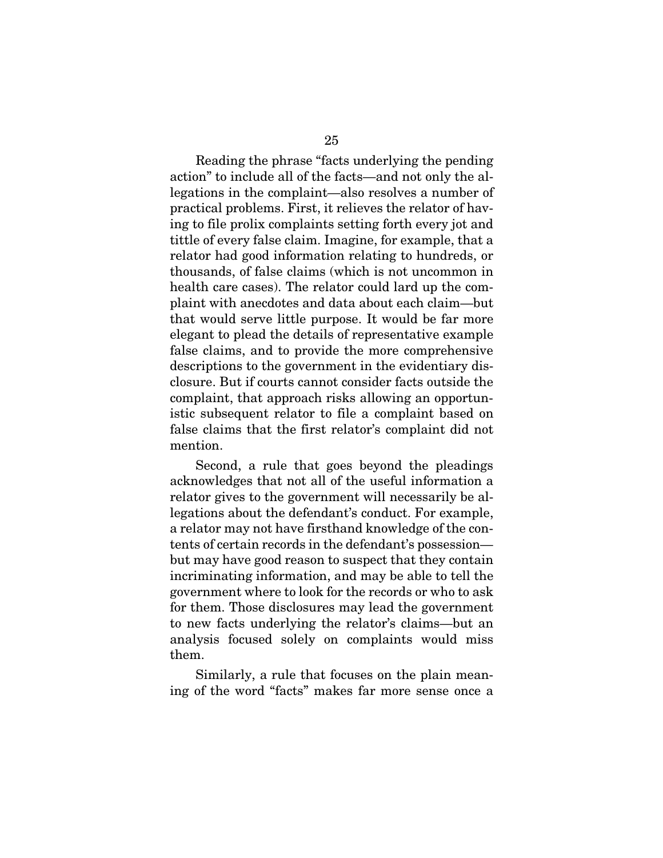Reading the phrase "facts underlying the pending action" to include all of the facts—and not only the allegations in the complaint—also resolves a number of practical problems. First, it relieves the relator of having to file prolix complaints setting forth every jot and tittle of every false claim. Imagine, for example, that a relator had good information relating to hundreds, or thousands, of false claims (which is not uncommon in health care cases). The relator could lard up the complaint with anecdotes and data about each claim—but that would serve little purpose. It would be far more elegant to plead the details of representative example false claims, and to provide the more comprehensive descriptions to the government in the evidentiary disclosure. But if courts cannot consider facts outside the complaint, that approach risks allowing an opportunistic subsequent relator to file a complaint based on false claims that the first relator's complaint did not mention.

Second, a rule that goes beyond the pleadings acknowledges that not all of the useful information a relator gives to the government will necessarily be allegations about the defendant's conduct. For example, a relator may not have firsthand knowledge of the contents of certain records in the defendant's possession but may have good reason to suspect that they contain incriminating information, and may be able to tell the government where to look for the records or who to ask for them. Those disclosures may lead the government to new facts underlying the relator's claims—but an analysis focused solely on complaints would miss them.

Similarly, a rule that focuses on the plain meaning of the word "facts" makes far more sense once a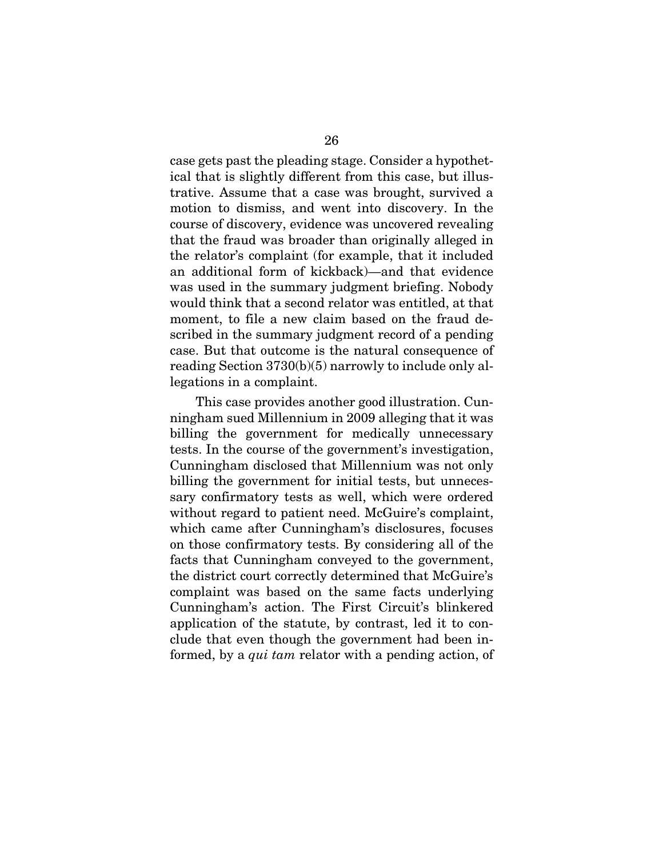case gets past the pleading stage. Consider a hypothetical that is slightly different from this case, but illustrative. Assume that a case was brought, survived a motion to dismiss, and went into discovery. In the course of discovery, evidence was uncovered revealing that the fraud was broader than originally alleged in the relator's complaint (for example, that it included an additional form of kickback)—and that evidence was used in the summary judgment briefing. Nobody would think that a second relator was entitled, at that moment, to file a new claim based on the fraud described in the summary judgment record of a pending case. But that outcome is the natural consequence of reading Section 3730(b)(5) narrowly to include only allegations in a complaint.

This case provides another good illustration. Cunningham sued Millennium in 2009 alleging that it was billing the government for medically unnecessary tests. In the course of the government's investigation, Cunningham disclosed that Millennium was not only billing the government for initial tests, but unnecessary confirmatory tests as well, which were ordered without regard to patient need. McGuire's complaint, which came after Cunningham's disclosures, focuses on those confirmatory tests. By considering all of the facts that Cunningham conveyed to the government, the district court correctly determined that McGuire's complaint was based on the same facts underlying Cunningham's action. The First Circuit's blinkered application of the statute, by contrast, led it to conclude that even though the government had been informed, by a *qui tam* relator with a pending action, of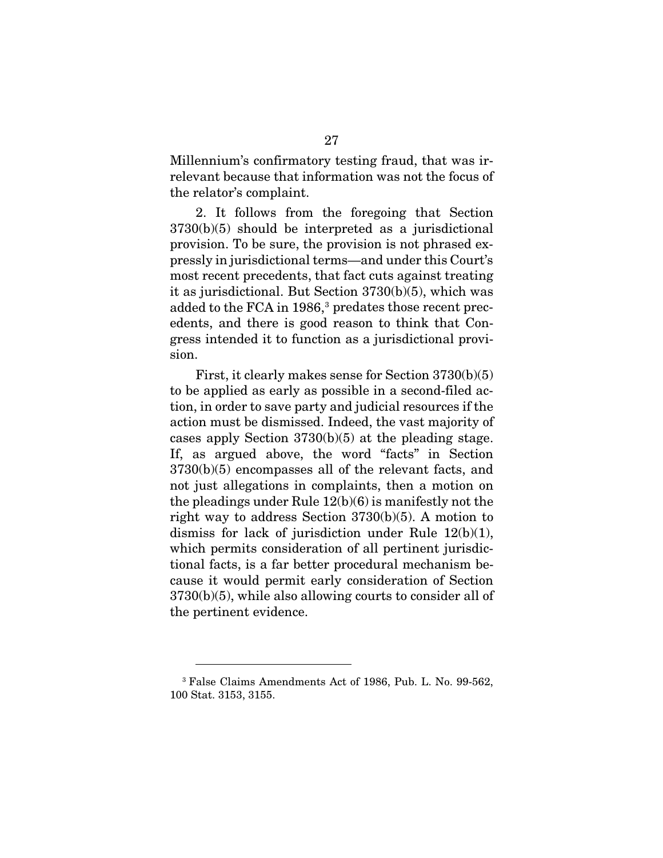Millennium's confirmatory testing fraud, that was irrelevant because that information was not the focus of the relator's complaint.

2. It follows from the foregoing that Section 3730(b)(5) should be interpreted as a jurisdictional provision. To be sure, the provision is not phrased expressly in jurisdictional terms—and under this Court's most recent precedents, that fact cuts against treating it as jurisdictional. But Section 3730(b)(5), which was added to the FCA in 1986,<sup>[3](#page-37-0)</sup> predates those recent precedents, and there is good reason to think that Congress intended it to function as a jurisdictional provision.

First, it clearly makes sense for Section 3730(b)(5) to be applied as early as possible in a second-filed action, in order to save party and judicial resources if the action must be dismissed. Indeed, the vast majority of cases apply Section 3730(b)(5) at the pleading stage. If, as argued above, the word "facts" in Section 3730(b)(5) encompasses all of the relevant facts, and not just allegations in complaints, then a motion on the pleadings under Rule 12(b)(6) is manifestly not the right way to address Section 3730(b)(5). A motion to dismiss for lack of jurisdiction under Rule  $12(b)(1)$ , which permits consideration of all pertinent jurisdictional facts, is a far better procedural mechanism because it would permit early consideration of Section 3730(b)(5), while also allowing courts to consider all of the pertinent evidence.

<span id="page-37-0"></span><sup>3</sup> False Claims Amendments Act of 1986, Pub. L. No. 99-562, 100 Stat. 3153, 3155.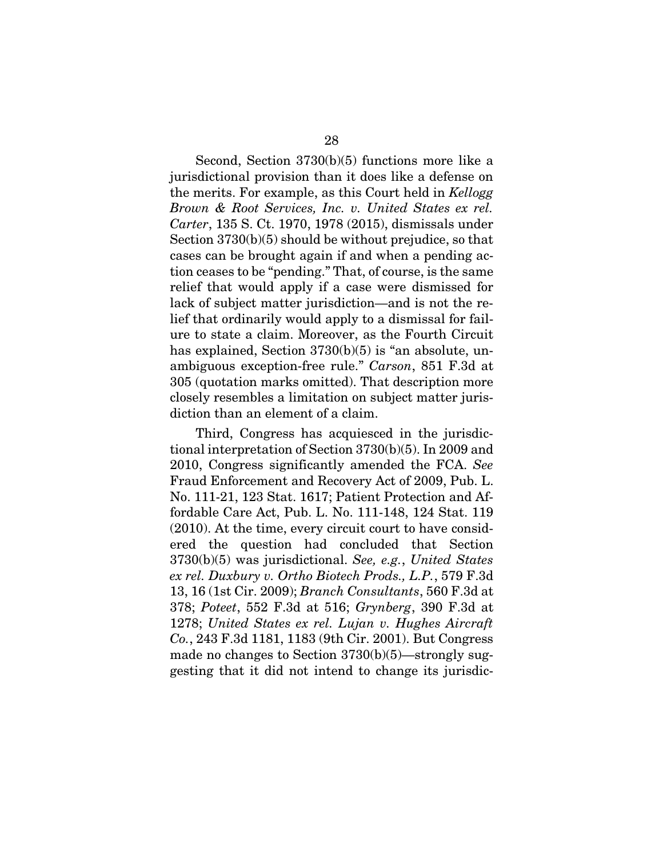Second, Section 3730(b)(5) functions more like a jurisdictional provision than it does like a defense on the merits. For example, as this Court held in *Kellogg Brown & Root Services, Inc. v. United States ex rel. Carter*, 135 S. Ct. 1970, 1978 (2015), dismissals under Section 3730(b)(5) should be without prejudice, so that cases can be brought again if and when a pending action ceases to be "pending." That, of course, is the same relief that would apply if a case were dismissed for lack of subject matter jurisdiction—and is not the relief that ordinarily would apply to a dismissal for failure to state a claim. Moreover, as the Fourth Circuit has explained, Section 3730(b)(5) is "an absolute, unambiguous exception-free rule." *Carson*, 851 F.3d at 305 (quotation marks omitted). That description more closely resembles a limitation on subject matter jurisdiction than an element of a claim.

Third, Congress has acquiesced in the jurisdictional interpretation of Section 3730(b)(5). In 2009 and 2010, Congress significantly amended the FCA. *See* Fraud Enforcement and Recovery Act of 2009, Pub. L. No. 111-21, 123 Stat. 1617; Patient Protection and Affordable Care Act, Pub. L. No. 111-148, 124 Stat. 119 (2010). At the time, every circuit court to have considered the question had concluded that Section 3730(b)(5) was jurisdictional. *See, e.g.*, *United States ex rel. Duxbury v. Ortho Biotech Prods., L.P.*, 579 F.3d 13, 16 (1st Cir. 2009); *Branch Consultants*, 560 F.3d at 378; *Poteet*, 552 F.3d at 516; *Grynberg*, 390 F.3d at 1278; *United States ex rel. Lujan v. Hughes Aircraft Co.*, 243 F.3d 1181, 1183 (9th Cir. 2001). But Congress made no changes to Section 3730(b)(5)—strongly suggesting that it did not intend to change its jurisdic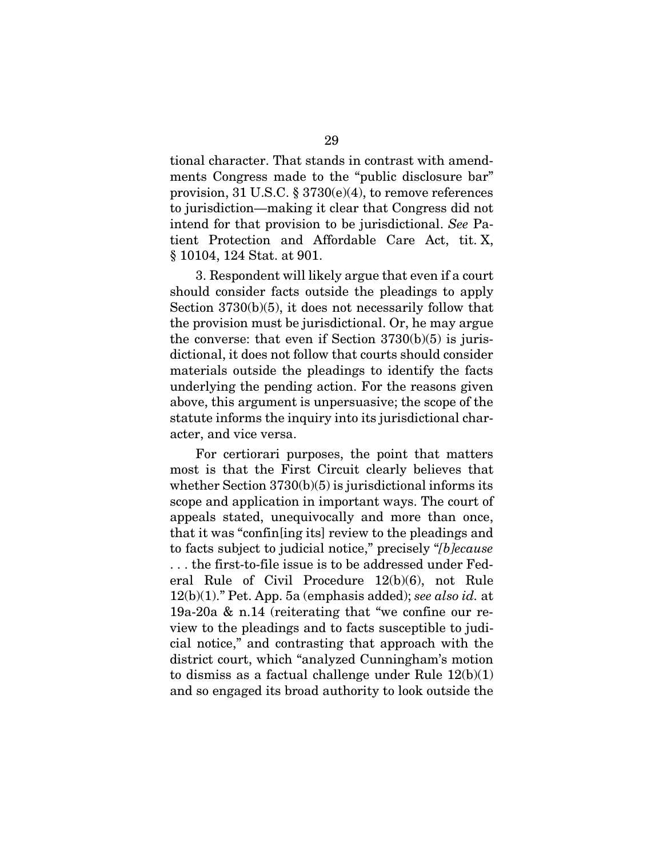tional character. That stands in contrast with amendments Congress made to the "public disclosure bar" provision, 31 U.S.C. § 3730(e)(4), to remove references to jurisdiction—making it clear that Congress did not intend for that provision to be jurisdictional. *See* Patient Protection and Affordable Care Act, tit. X, § 10104, 124 Stat. at 901.

3. Respondent will likely argue that even if a court should consider facts outside the pleadings to apply Section 3730(b)(5), it does not necessarily follow that the provision must be jurisdictional. Or, he may argue the converse: that even if Section  $3730(b)(5)$  is jurisdictional, it does not follow that courts should consider materials outside the pleadings to identify the facts underlying the pending action. For the reasons given above, this argument is unpersuasive; the scope of the statute informs the inquiry into its jurisdictional character, and vice versa.

For certiorari purposes, the point that matters most is that the First Circuit clearly believes that whether Section 3730(b)(5) is jurisdictional informs its scope and application in important ways. The court of appeals stated, unequivocally and more than once, that it was "confin[ing its] review to the pleadings and to facts subject to judicial notice," precisely "*[b]ecause* . . . the first-to-file issue is to be addressed under Federal Rule of Civil Procedure 12(b)(6), not Rule 12(b)(1)." Pet. App. 5a (emphasis added); *see also id.* at 19a-20a & n.14 (reiterating that "we confine our review to the pleadings and to facts susceptible to judicial notice," and contrasting that approach with the district court, which "analyzed Cunningham's motion to dismiss as a factual challenge under Rule 12(b)(1) and so engaged its broad authority to look outside the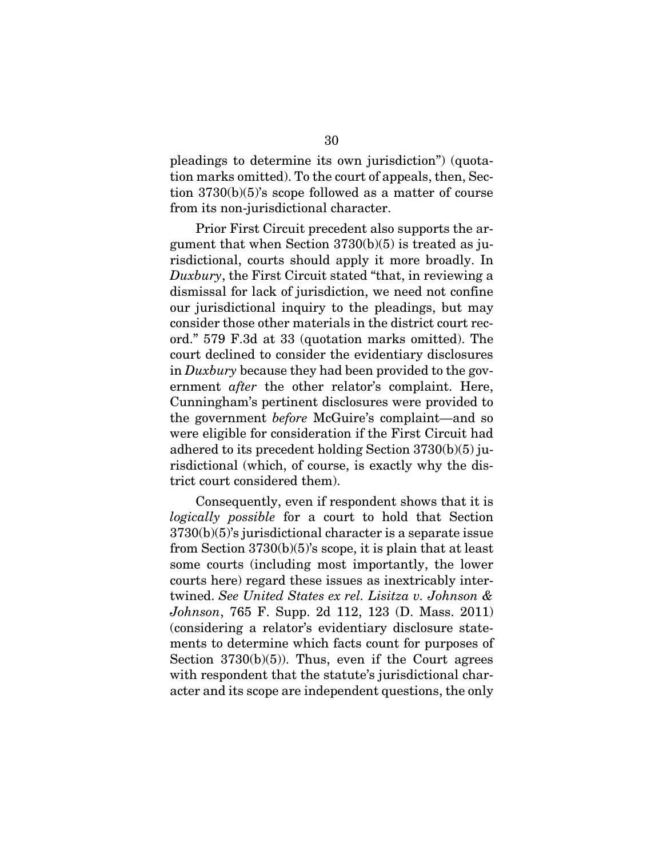pleadings to determine its own jurisdiction") (quotation marks omitted). To the court of appeals, then, Section 3730(b)(5)'s scope followed as a matter of course from its non-jurisdictional character.

Prior First Circuit precedent also supports the argument that when Section 3730(b)(5) is treated as jurisdictional, courts should apply it more broadly. In *Duxbury*, the First Circuit stated "that, in reviewing a dismissal for lack of jurisdiction, we need not confine our jurisdictional inquiry to the pleadings, but may consider those other materials in the district court record." 579 F.3d at 33 (quotation marks omitted). The court declined to consider the evidentiary disclosures in *Duxbury* because they had been provided to the government *after* the other relator's complaint. Here, Cunningham's pertinent disclosures were provided to the government *before* McGuire's complaint—and so were eligible for consideration if the First Circuit had adhered to its precedent holding Section 3730(b)(5) jurisdictional (which, of course, is exactly why the district court considered them).

Consequently, even if respondent shows that it is *logically possible* for a court to hold that Section 3730(b)(5)'s jurisdictional character is a separate issue from Section 3730(b)(5)'s scope, it is plain that at least some courts (including most importantly, the lower courts here) regard these issues as inextricably intertwined. *See United States ex rel. Lisitza v. Johnson & Johnson*, 765 F. Supp. 2d 112, 123 (D. Mass. 2011) (considering a relator's evidentiary disclosure statements to determine which facts count for purposes of Section  $3730(b)(5)$ . Thus, even if the Court agrees with respondent that the statute's jurisdictional character and its scope are independent questions, the only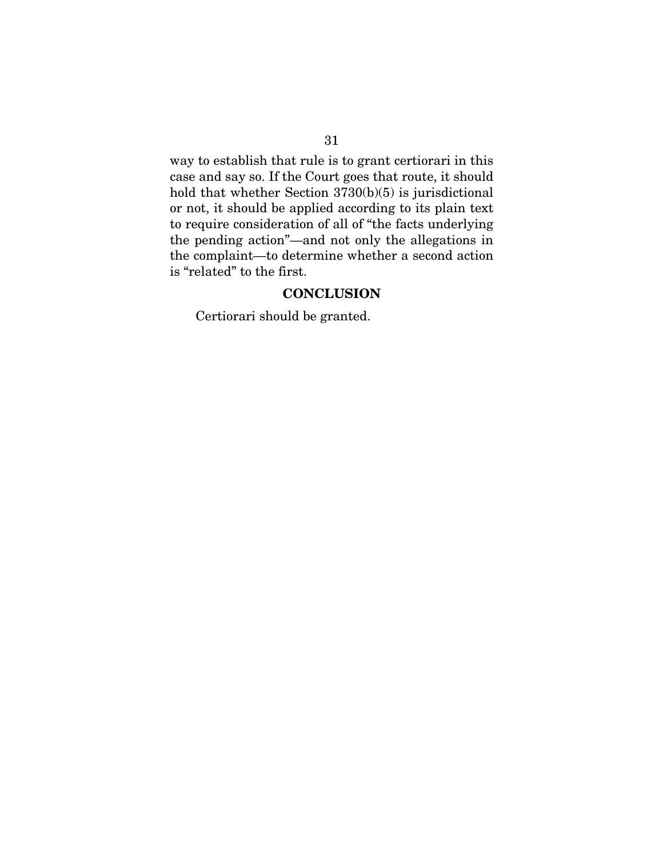way to establish that rule is to grant certiorari in this case and say so. If the Court goes that route, it should hold that whether Section 3730(b)(5) is jurisdictional or not, it should be applied according to its plain text to require consideration of all of "the facts underlying the pending action"—and not only the allegations in the complaint—to determine whether a second action is "related" to the first.

## **CONCLUSION**

<span id="page-41-0"></span>Certiorari should be granted.